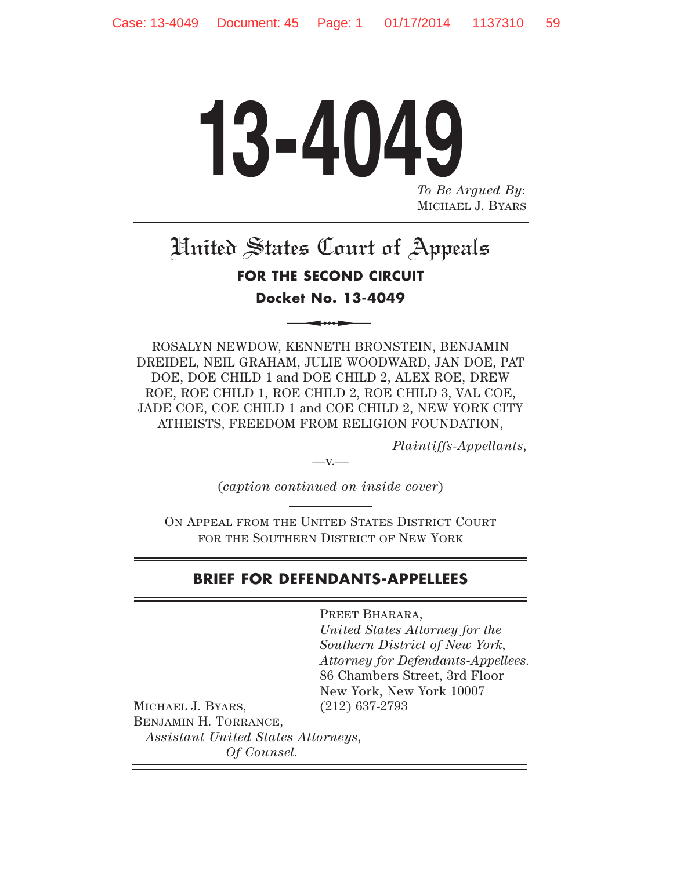# **13-4049** *To Be Argued By*: MICHAEL J. BYARS

# United States Court of Appeals **FOR THE SECOND CIRCUIT Docket No. 13-4049**

ROSALYN NEWDOW, KENNETH BRONSTEIN, BENJAMIN DREIDEL, NEIL GRAHAM, JULIE WOODWARD, JAN DOE, PAT DOE, DOE CHILD 1 and DOE CHILD 2, ALEX ROE, DREW ROE, ROE CHILD 1, ROE CHILD 2, ROE CHILD 3, VAL COE, JADE COE, COE CHILD 1 and COE CHILD 2, NEW YORK CITY ATHEISTS, FREEDOM FROM RELIGION FOUNDATION,

*Plaintiffs-Appellants,*

(*caption continued on inside cover*)

 $-V.$ 

ON APPEAL FROM THE UNITED STATES DISTRICT COURT FOR THE SOUTHERN DISTRICT OF NEW YORK

# **BRIEF FOR DEFENDANTS-APPELLEES**

PREET BHARARA, *United States Attorney for the Southern District of New York, Attorney for Defendants-Appellees.* 86 Chambers Street, 3rd Floor New York, New York 10007 (212) 637-2793

MICHAEL J. BYARS, BENJAMIN H. TORRANCE, *Assistant United States Attorneys, Of Counsel.*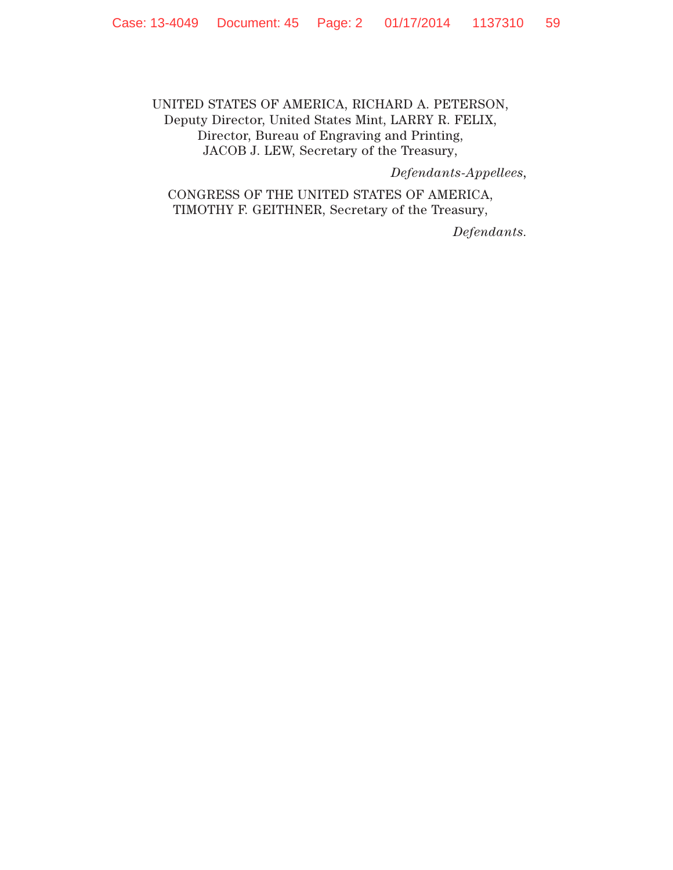# UNITED STATES OF AMERICA, RICHARD A. PETERSON, Deputy Director, United States Mint, LARRY R. FELIX, Director, Bureau of Engraving and Printing, JACOB J. LEW, Secretary of the Treasury,

*Defendants-Appellees,*

CONGRESS OF THE UNITED STATES OF AMERICA, TIMOTHY F. GEITHNER, Secretary of the Treasury,

*Defendants.*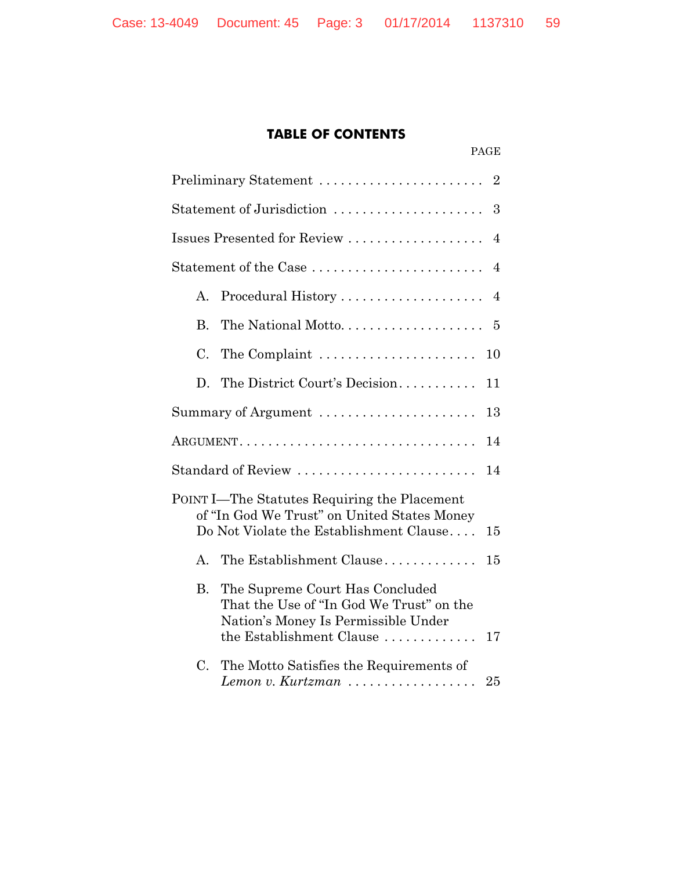# **TABLE OF CONTENTS**

PAGE

|                            | Statement of Jurisdiction<br>3                                                                                                                 |    |  |  |
|----------------------------|------------------------------------------------------------------------------------------------------------------------------------------------|----|--|--|
|                            | Issues Presented for Review<br>$\overline{4}$                                                                                                  |    |  |  |
| Statement of the Case<br>4 |                                                                                                                                                |    |  |  |
| A.                         | Procedural History                                                                                                                             | 4  |  |  |
| $\mathbf{B}$ .             | The National Motto                                                                                                                             | 5  |  |  |
| C.                         | The Complaint                                                                                                                                  | 10 |  |  |
| D.                         | The District Court's Decision                                                                                                                  | 11 |  |  |
|                            | Summary of Argument                                                                                                                            | 13 |  |  |
|                            | $\operatorname{ARGUMENT.} \ldots \ldots \ldots \ldots \ldots \ldots \ldots \ldots \ldots \ldots \ldots$                                        | 14 |  |  |
|                            | Standard of Review                                                                                                                             | 14 |  |  |
|                            | POINT I—The Statutes Requiring the Placement<br>of "In God We Trust" on United States Money<br>Do Not Violate the Establishment Clause         | 15 |  |  |
| А.                         | The Establishment Clause                                                                                                                       | 15 |  |  |
| <b>B.</b>                  | The Supreme Court Has Concluded<br>That the Use of "In God We Trust" on the<br>Nation's Money Is Permissible Under<br>the Establishment Clause | 17 |  |  |
| C.                         | The Motto Satisfies the Requirements of<br>Lemon v. Kurtzman $\ldots$                                                                          | 25 |  |  |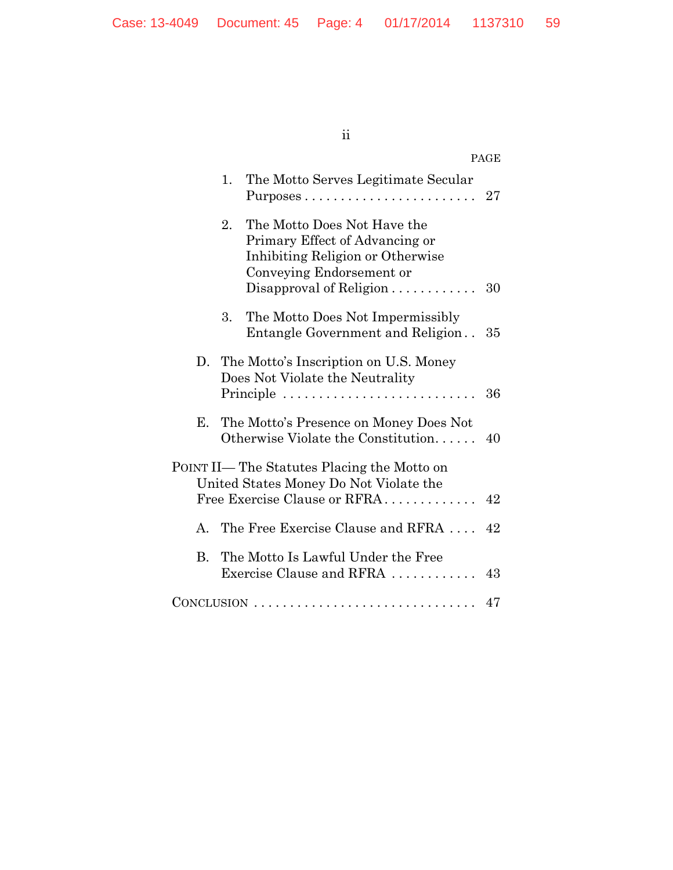# ii

|    |    |                                                                                                                                                                                 | PAGE |
|----|----|---------------------------------------------------------------------------------------------------------------------------------------------------------------------------------|------|
|    | 1. | The Motto Serves Legitimate Secular                                                                                                                                             | 27   |
|    | 2. | The Motto Does Not Have the<br>Primary Effect of Advancing or<br>Inhibiting Religion or Otherwise<br>Conveying Endorsement or<br>Disapproval of Religion $\ldots \ldots \ldots$ | 30   |
|    | 3. | The Motto Does Not Impermissibly<br>Entangle Government and Religion                                                                                                            | 35   |
|    |    | D. The Motto's Inscription on U.S. Money<br>Does Not Violate the Neutrality<br>Principle                                                                                        | 36   |
| Е. |    | The Motto's Presence on Money Does Not<br>Otherwise Violate the Constitution                                                                                                    | 40   |
|    |    | POINT II— The Statutes Placing the Motto on<br>United States Money Do Not Violate the<br>Free Exercise Clause or RFRA                                                           | 42   |
| A. |    | The Free Exercise Clause and RFRA                                                                                                                                               | 42   |
| B. |    | The Motto Is Lawful Under the Free<br>Exercise Clause and RFRA                                                                                                                  | 43   |
|    |    |                                                                                                                                                                                 | 47   |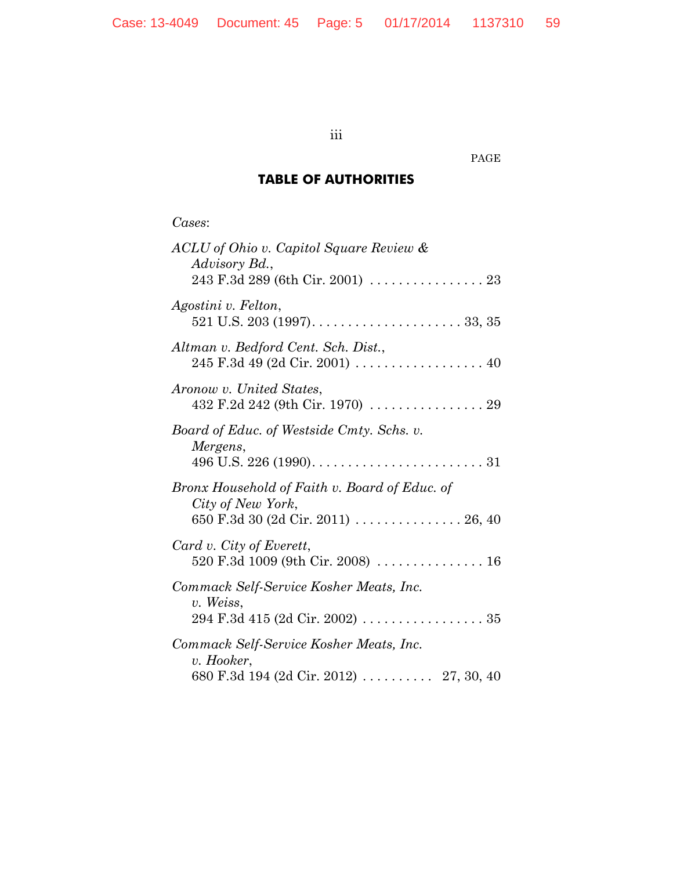iii

PAGE

# **TABLE OF AUTHORITIES**

*Cases*:

| ACLU of Ohio v. Capitol Square Review &<br>Advisory Bd.,                                                                                       |
|------------------------------------------------------------------------------------------------------------------------------------------------|
|                                                                                                                                                |
| Agostini v. Felton,                                                                                                                            |
| Altman v. Bedford Cent. Sch. Dist.,                                                                                                            |
| Aronow v. United States,                                                                                                                       |
| Board of Educ. of Westside Cmty. Schs. v.<br>Mergens,<br>496 U.S. 226 (1990). $\ldots \ldots \ldots \ldots \ldots \ldots \ldots \ldots \ldots$ |
| Bronx Household of Faith v. Board of Educ. of<br>City of New York,<br>650 F.3d 30 (2d Cir. 2011)  26, 40                                       |
| Card v. City of Everett,<br>520 F.3d 1009 (9th Cir. 2008)  16                                                                                  |
| Commack Self-Service Kosher Meats, Inc.<br>v. Weiss,                                                                                           |
| Commack Self-Service Kosher Meats, Inc.<br>v. Hooker,                                                                                          |
|                                                                                                                                                |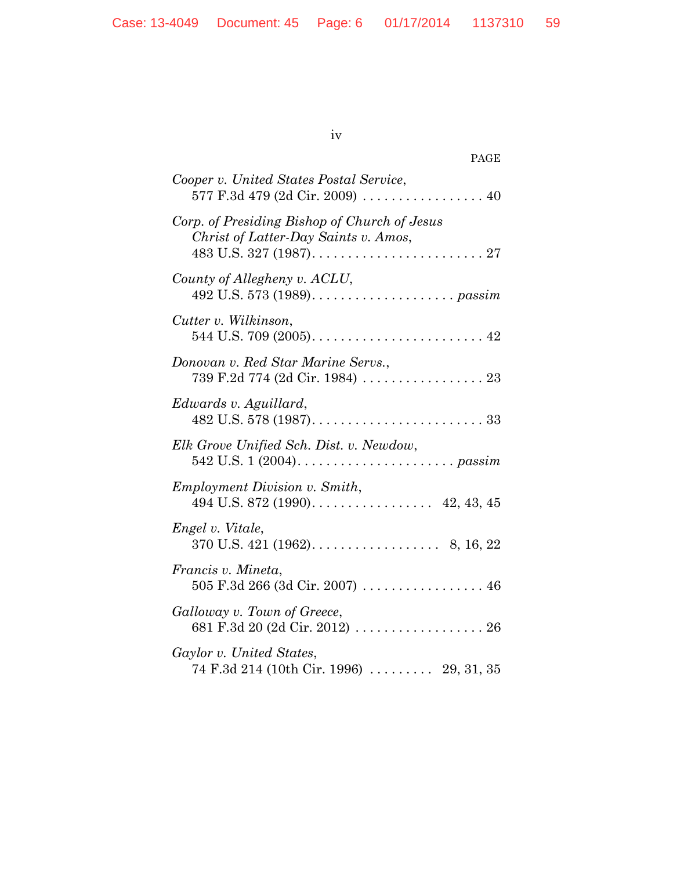iv

| PAGE                                                                                 |
|--------------------------------------------------------------------------------------|
| Cooper v. United States Postal Service,<br>577 F.3d 479 (2d Cir. 2009)  40           |
| Corp. of Presiding Bishop of Church of Jesus<br>Christ of Latter-Day Saints v. Amos, |
| County of Allegheny v. ACLU,                                                         |
| Cutter v. Wilkinson,                                                                 |
| Donovan v. Red Star Marine Servs.,<br>739 F.2d 774 (2d Cir. 1984) 23                 |
| Edwards v. Aguillard,                                                                |
| Elk Grove Unified Sch. Dist. v. Newdow,                                              |
| <i>Employment Division v. Smith,</i><br>494 U.S. 872 (1990). 42, 43, 45              |
| Engel v. Vitale,                                                                     |
| Francis v. Mineta,<br>$505$ F.3d 266 (3d Cir. 2007) 46                               |
| Galloway v. Town of Greece,                                                          |
| Gaylor v. United States,<br>$74$ F.3d $214$ (10th Cir. 1996)  29, 31, 35             |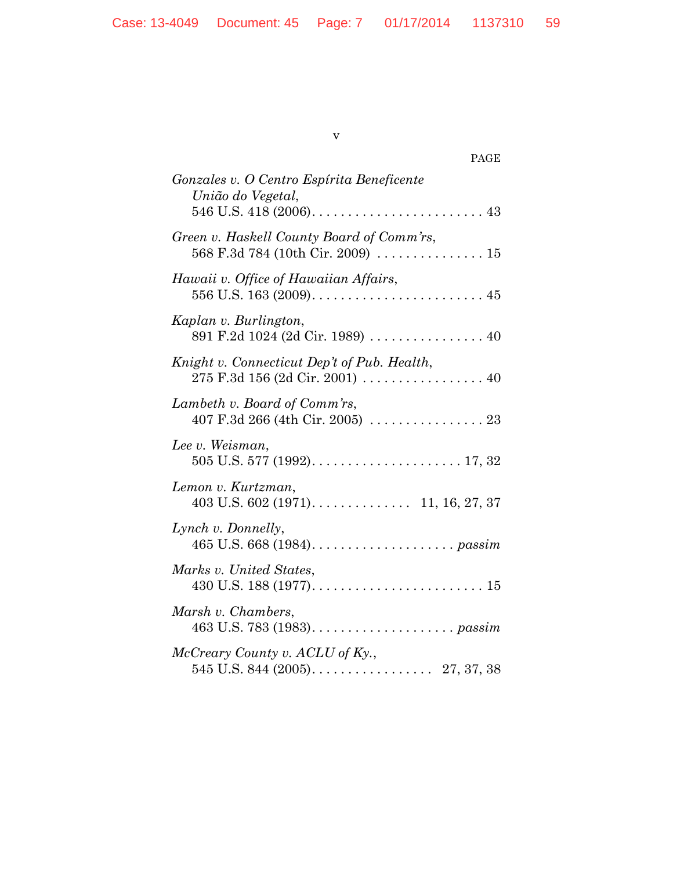| ۰.<br>S<br>I<br>۰, |
|--------------------|
|--------------------|

| PAGE                                                           |
|----------------------------------------------------------------|
| Gonzales v. O Centro Espírita Beneficente<br>União do Vegetal, |
| Green v. Haskell County Board of Comm'rs,                      |
| Hawaii v. Office of Hawaiian Affairs,                          |
| Kaplan v. Burlington,                                          |
| Knight v. Connecticut Dep't of Pub. Health,                    |
| Lambeth v. Board of Comm'rs,                                   |
| Lee v. Weisman,                                                |
| Lemon v. Kurtzman,                                             |
| Lynch v. Donnelly,                                             |
| Marks v. United States,                                        |
| Marsh v. Chambers,                                             |
| McCreary County v. ACLU of Ky.,                                |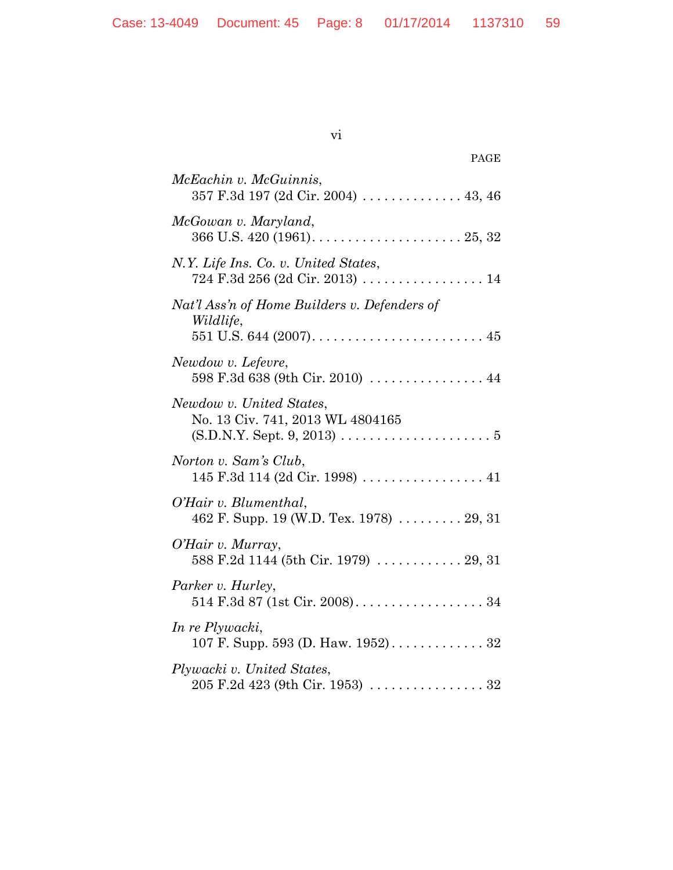| V1 |  |
|----|--|

| PAGE                                                                                                                                                           |
|----------------------------------------------------------------------------------------------------------------------------------------------------------------|
| McEachin v. McGuinnis,                                                                                                                                         |
| McGowan v. Maryland,                                                                                                                                           |
| N.Y. Life Ins. Co. v. United States,<br>$724 \text{ F}.3d \text{ } 256 \text{ } (2d \text{ Cir. } 2013) \text{ } \dots \dots \dots \dots \dots \dots \dots 14$ |
| Nat'l Ass'n of Home Builders v. Defenders of<br>Wildlife,                                                                                                      |
| Newdow v. Lefevre,<br>598 F.3d 638 (9th Cir. 2010)  44                                                                                                         |
| Newdow v. United States,<br>No. 13 Civ. 741, 2013 WL 4804165                                                                                                   |
| Norton v. Sam's Club,<br>145 F.3d 114 (2d Cir. 1998)  41                                                                                                       |
| O'Hair v. Blumenthal,<br>462 F. Supp. 19 (W.D. Tex. 1978)  29, 31                                                                                              |
| O'Hair v. Murray,<br>588 F.2d 1144 (5th Cir. 1979)  29, 31                                                                                                     |
| Parker v. Hurley,                                                                                                                                              |
| In re Plywacki,                                                                                                                                                |
| Plywacki v. United States,                                                                                                                                     |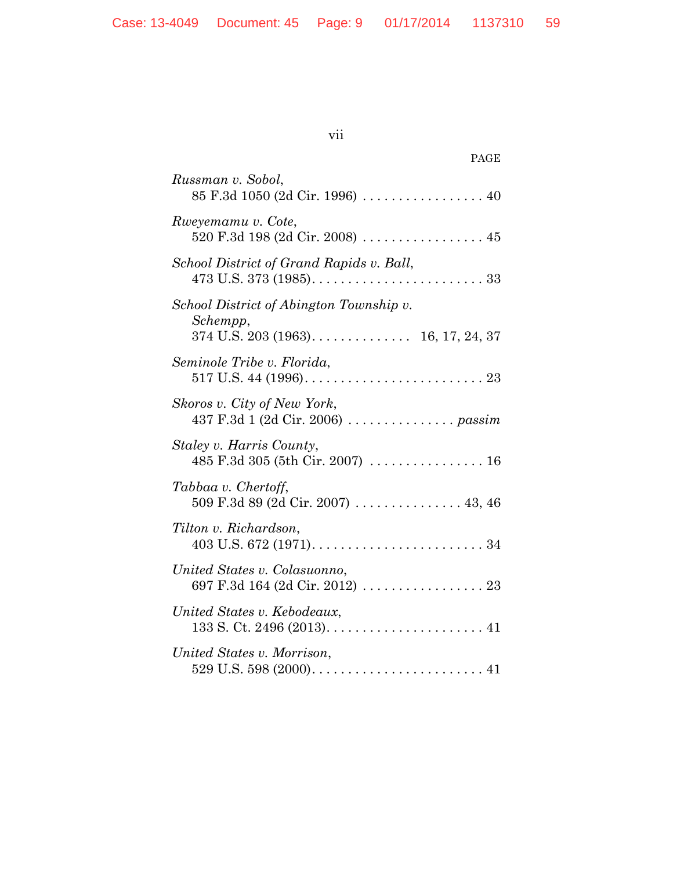| ×<br>I | $\sim$ |
|--------|--------|
|        |        |

| PAGE                                                      |
|-----------------------------------------------------------|
| Russman v. Sobol,                                         |
| Rweyemamu v. Cote,<br>520 F.3d 198 (2d Cir. 2008)  45     |
| School District of Grand Rapids v. Ball,                  |
| School District of Abington Township v.<br>Schempp,       |
| Seminole Tribe v. Florida,                                |
| Skoros v. City of New York,                               |
| Staley v. Harris County,                                  |
| Tabbaa v. Chertoff,<br>509 F.3d 89 (2d Cir. 2007)  43, 46 |
| Tilton v. Richardson,                                     |
| United States v. Colasuonno,                              |
| United States v. Kebodeaux,                               |
| United States v. Morrison,                                |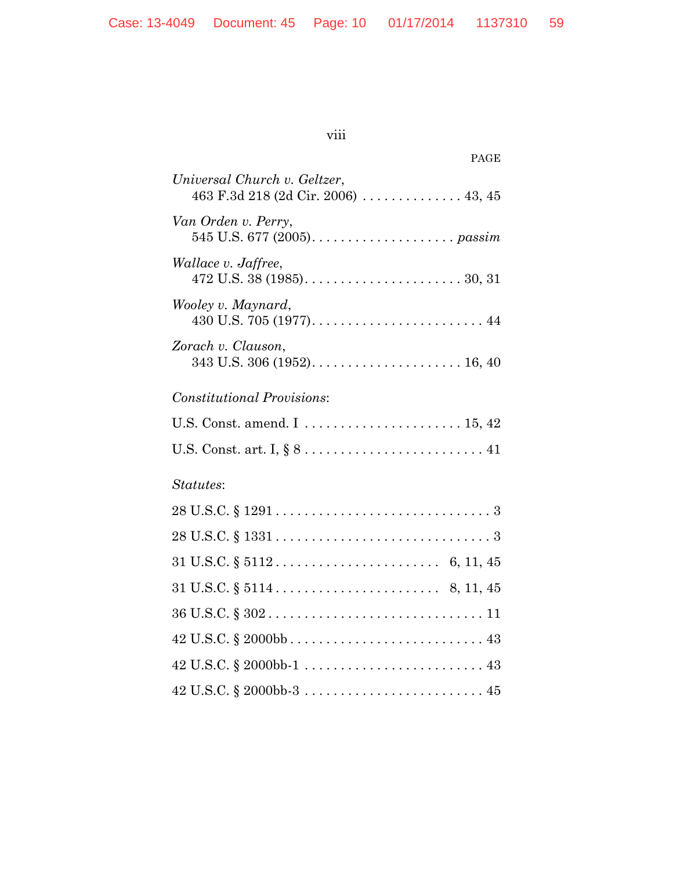| $\cdots$    |  |
|-------------|--|
| <b>V111</b> |  |
|             |  |

| PAGE                                                                                             |
|--------------------------------------------------------------------------------------------------|
| Universal Church v. Geltzer,<br>463 F.3d 218 (2d Cir. 2006) $\ldots \ldots \ldots \ldots 43, 45$ |
| Van Orden v. Perry,                                                                              |
| <i>Wallace v. Jaffree,</i>                                                                       |
| Wooley v. Maynard,                                                                               |
| Zorach v. Clauson,                                                                               |
| <b>Constitutional Provisions:</b>                                                                |
| U.S. Const. amend. I  15, 42                                                                     |
|                                                                                                  |
| Statutes:                                                                                        |
|                                                                                                  |
|                                                                                                  |
|                                                                                                  |
| $31 \text{ U.S.C.} \S 5114 \ldots \ldots \ldots \ldots \ldots \ldots \ldots \quad 8, 11, 45$     |
|                                                                                                  |
|                                                                                                  |
|                                                                                                  |
|                                                                                                  |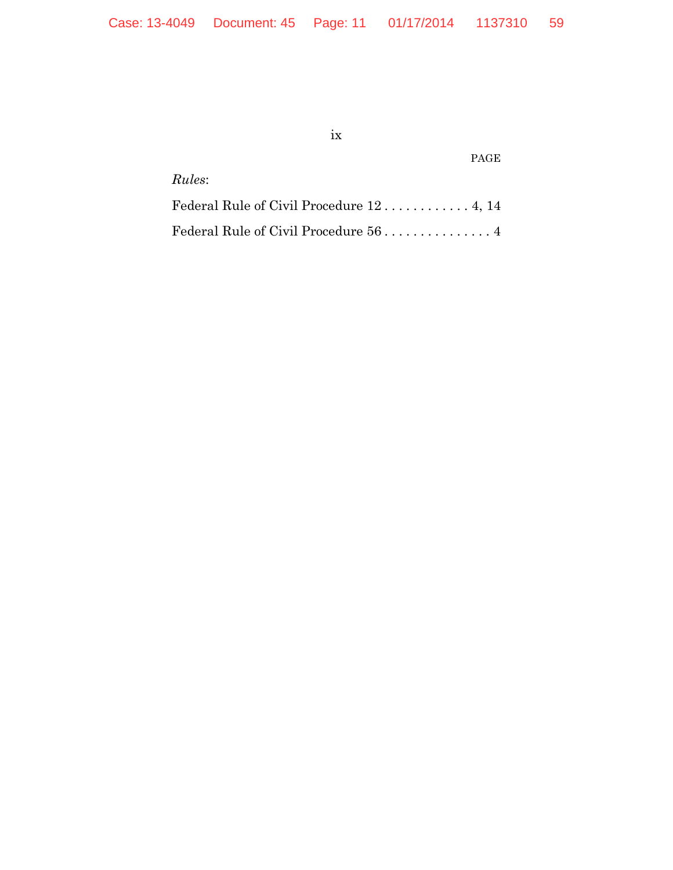ix

PAGE

*Rules*:

Federal Rule of Civil Procedure 12 ............ 4, 14 Federal Rule of Civil Procedure 56 ............... 4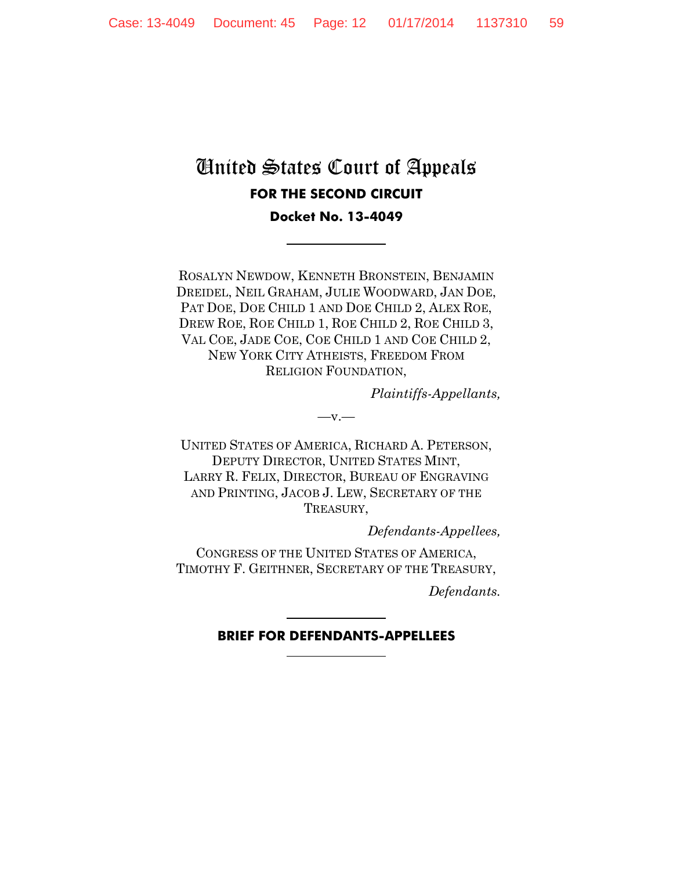# United States Court of Appeals **FOR THE SECOND CIRCUIT**

**Docket No. 13-4049**

ROSALYN NEWDOW, KENNETH BRONSTEIN, BENJAMIN DREIDEL, NEIL GRAHAM, JULIE WOODWARD, JAN DOE, PAT DOE, DOE CHILD 1 AND DOE CHILD 2, ALEX ROE, DREW ROE, ROE CHILD 1, ROE CHILD 2, ROE CHILD 3, VAL COE, JADE COE, COE CHILD 1 AND COE CHILD 2, NEW YORK CITY ATHEISTS, FREEDOM FROM RELIGION FOUNDATION,

*Plaintiffs-Appellants,*

UNITED STATES OF AMERICA, RICHARD A. PETERSON, DEPUTY DIRECTOR, UNITED STATES MINT, LARRY R. FELIX, DIRECTOR, BUREAU OF ENGRAVING AND PRINTING, JACOB J. LEW, SECRETARY OF THE TREASURY,

 $-v.$ 

*Defendants-Appellees,*

CONGRESS OF THE UNITED STATES OF AMERICA, TIMOTHY F. GEITHNER, SECRETARY OF THE TREASURY,

*Defendants.*

#### **BRIEF FOR DEFENDANTS-APPELLEES**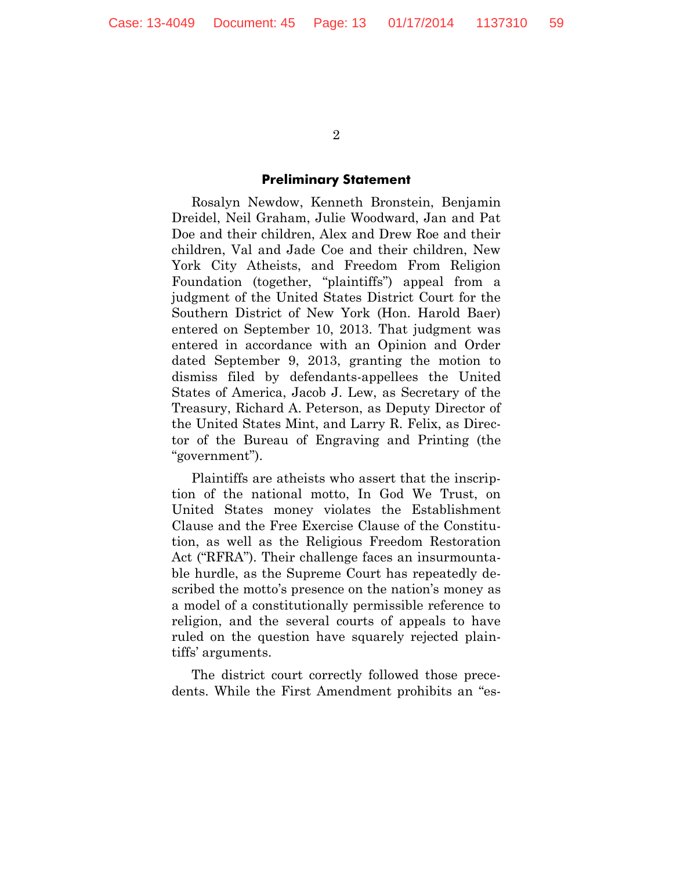#### **Preliminary Statement**

Rosalyn Newdow, Kenneth Bronstein, Benjamin Dreidel, Neil Graham, Julie Woodward, Jan and Pat Doe and their children, Alex and Drew Roe and their children, Val and Jade Coe and their children, New York City Atheists, and Freedom From Religion Foundation (together, "plaintiffs") appeal from a judgment of the United States District Court for the Southern District of New York (Hon. Harold Baer) entered on September 10, 2013. That judgment was entered in accordance with an Opinion and Order dated September 9, 2013, granting the motion to dismiss filed by defendants-appellees the United States of America, Jacob J. Lew, as Secretary of the Treasury, Richard A. Peterson, as Deputy Director of the United States Mint, and Larry R. Felix, as Director of the Bureau of Engraving and Printing (the "government").

Plaintiffs are atheists who assert that the inscription of the national motto, In God We Trust, on United States money violates the Establishment Clause and the Free Exercise Clause of the Constitution, as well as the Religious Freedom Restoration Act ("RFRA"). Their challenge faces an insurmountable hurdle, as the Supreme Court has repeatedly described the motto's presence on the nation's money as a model of a constitutionally permissible reference to religion, and the several courts of appeals to have ruled on the question have squarely rejected plaintiffs' arguments.

The district court correctly followed those precedents. While the First Amendment prohibits an "es-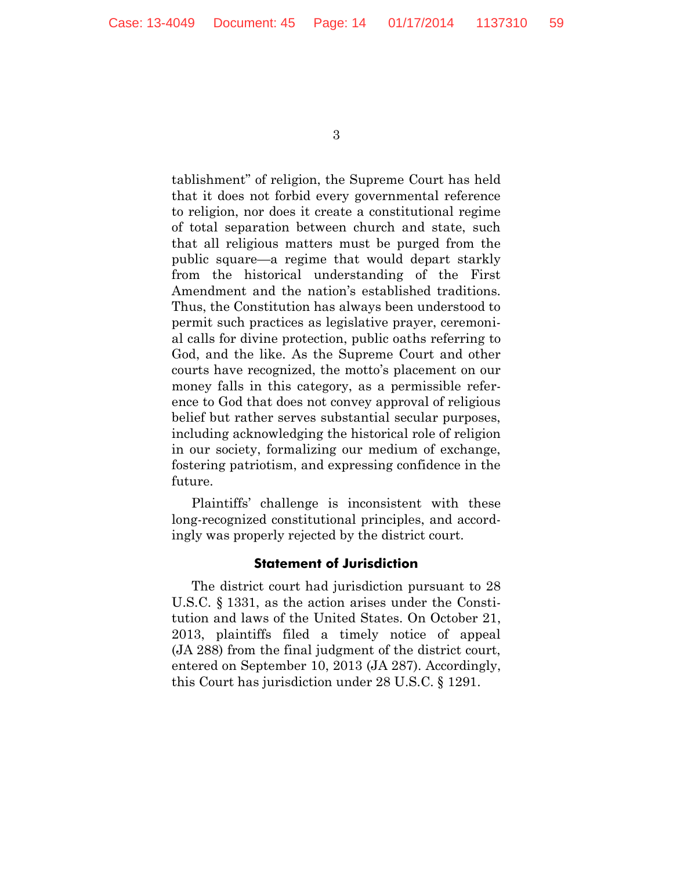tablishment" of religion, the Supreme Court has held that it does not forbid every governmental reference to religion, nor does it create a constitutional regime of total separation between church and state, such that all religious matters must be purged from the public square—a regime that would depart starkly from the historical understanding of the First Amendment and the nation's established traditions. Thus, the Constitution has always been understood to permit such practices as legislative prayer, ceremonial calls for divine protection, public oaths referring to God, and the like. As the Supreme Court and other courts have recognized, the motto's placement on our money falls in this category, as a permissible reference to God that does not convey approval of religious belief but rather serves substantial secular purposes, including acknowledging the historical role of religion in our society, formalizing our medium of exchange, fostering patriotism, and expressing confidence in the future.

Plaintiffs' challenge is inconsistent with these long-recognized constitutional principles, and accordingly was properly rejected by the district court.

#### **Statement of Jurisdiction**

The district court had jurisdiction pursuant to 28 U.S.C. § 1331, as the action arises under the Constitution and laws of the United States. On October 21, 2013, plaintiffs filed a timely notice of appeal (JA 288) from the final judgment of the district court, entered on September 10, 2013 (JA 287). Accordingly, this Court has jurisdiction under 28 U.S.C. § 1291.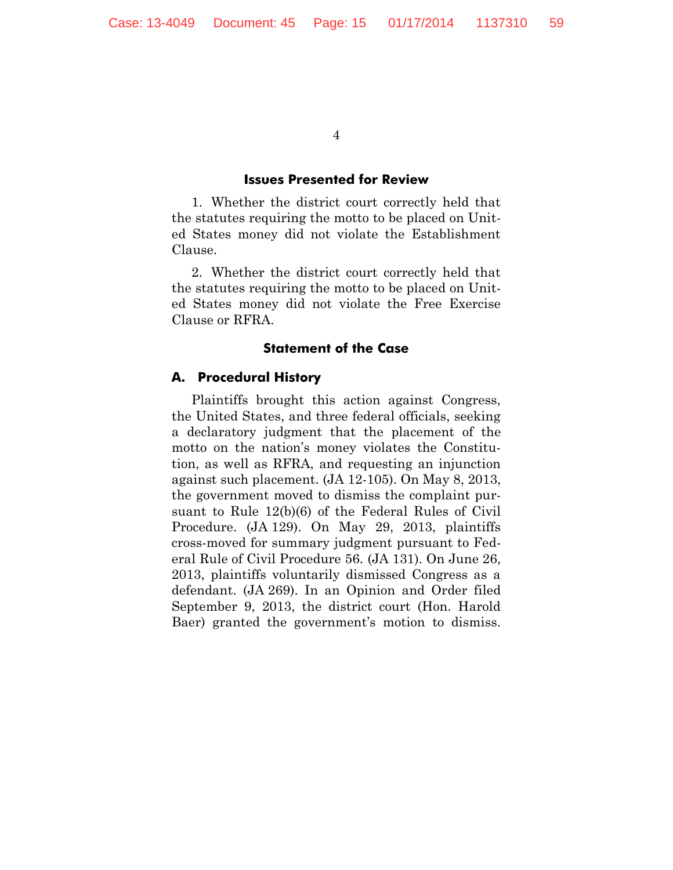#### **Issues Presented for Review**

1. Whether the district court correctly held that the statutes requiring the motto to be placed on United States money did not violate the Establishment Clause.

2. Whether the district court correctly held that the statutes requiring the motto to be placed on United States money did not violate the Free Exercise Clause or RFRA.

#### **Statement of the Case**

#### **A. Procedural History**

Plaintiffs brought this action against Congress, the United States, and three federal officials, seeking a declaratory judgment that the placement of the motto on the nation's money violates the Constitution, as well as RFRA, and requesting an injunction against such placement. (JA 12-105). On May 8, 2013, the government moved to dismiss the complaint pursuant to Rule 12(b)(6) of the Federal Rules of Civil Procedure. (JA 129). On May 29, 2013, plaintiffs cross-moved for summary judgment pursuant to Federal Rule of Civil Procedure 56. (JA 131). On June 26, 2013, plaintiffs voluntarily dismissed Congress as a defendant. (JA 269). In an Opinion and Order filed September 9, 2013, the district court (Hon. Harold Baer) granted the government's motion to dismiss.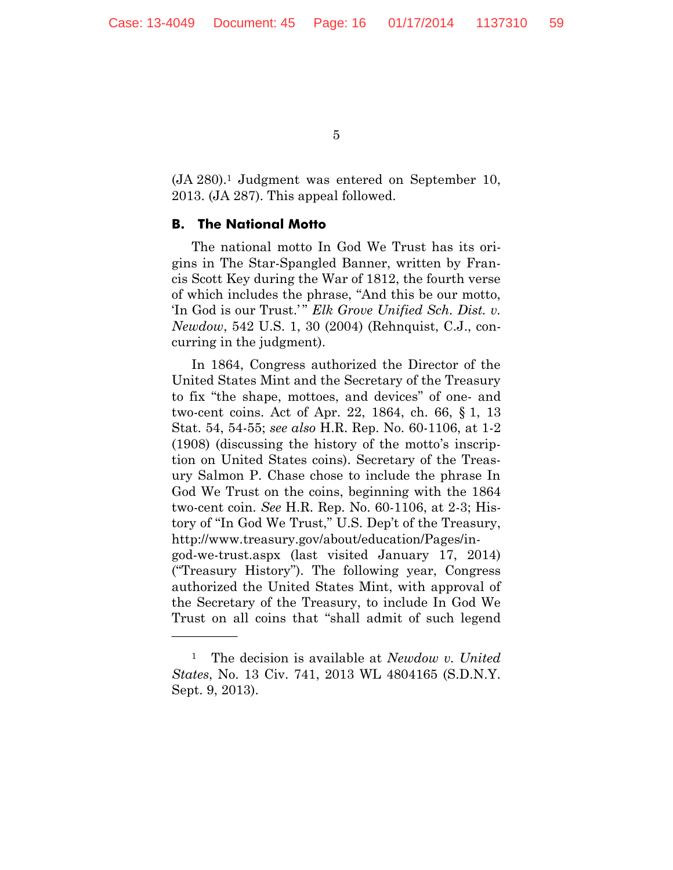(JA 280).<sup>1</sup> Judgment was entered on September 10, 2013. (JA 287). This appeal followed.

#### **B. The National Motto**

—————

The national motto In God We Trust has its origins in The Star-Spangled Banner, written by Francis Scott Key during the War of 1812, the fourth verse of which includes the phrase, "And this be our motto, 'In God is our Trust.'" *Elk Grove Unified Sch. Dist. v. Newdow*, 542 U.S. 1, 30 (2004) (Rehnquist, C.J., concurring in the judgment).

In 1864, Congress authorized the Director of the United States Mint and the Secretary of the Treasury to fix "the shape, mottoes, and devices" of one- and two-cent coins. Act of Apr. 22, 1864, ch. 66, § 1, 13 Stat. 54, 54-55; *see also* H.R. Rep. No. 60-1106, at 1-2 (1908) (discussing the history of the motto's inscription on United States coins). Secretary of the Treasury Salmon P. Chase chose to include the phrase In God We Trust on the coins, beginning with the 1864 two-cent coin. *See* H.R. Rep. No. 60-1106, at 2-3; History of "In God We Trust," U.S. Dep't of the Treasury, http://www.treasury.gov/about/education/Pages/ingod-we-trust.aspx (last visited January 17, 2014) ("Treasury History"). The following year, Congress authorized the United States Mint, with approval of the Secretary of the Treasury, to include In God We Trust on all coins that "shall admit of such legend

<sup>1</sup> The decision is available at *Newdow v. United States*, No. 13 Civ. 741, 2013 WL 4804165 (S.D.N.Y. Sept. 9, 2013).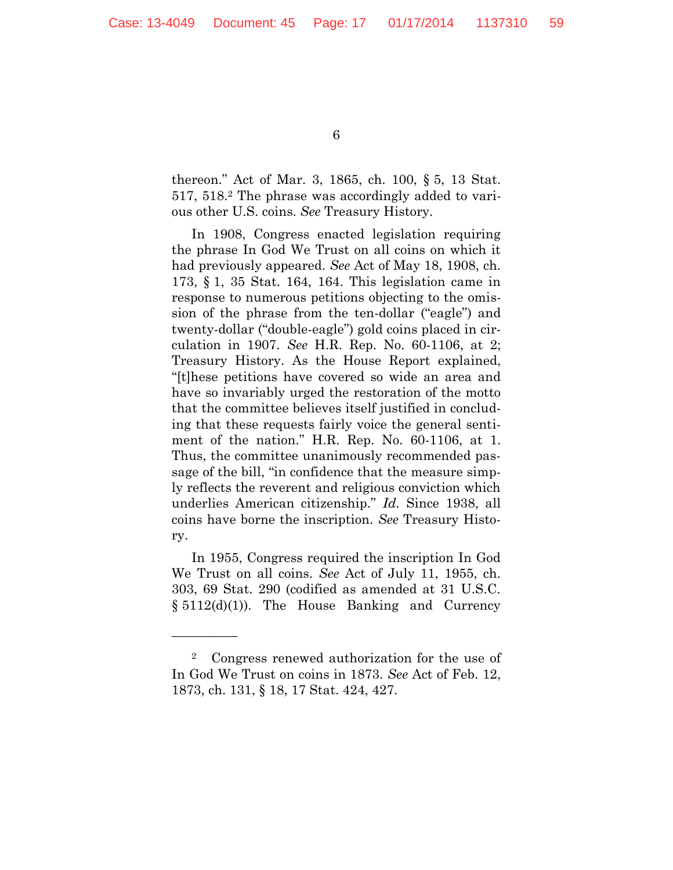thereon." Act of Mar. 3, 1865, ch. 100, § 5, 13 Stat. 517, 518.<sup>2</sup> The phrase was accordingly added to various other U.S. coins. *See* Treasury History.

In 1908, Congress enacted legislation requiring the phrase In God We Trust on all coins on which it had previously appeared. *See* Act of May 18, 1908, ch. 173, § 1, 35 Stat. 164, 164. This legislation came in response to numerous petitions objecting to the omission of the phrase from the ten-dollar ("eagle") and twenty-dollar ("double-eagle") gold coins placed in circulation in 1907. *See* H.R. Rep. No. 60-1106, at 2; Treasury History. As the House Report explained, "[t]hese petitions have covered so wide an area and have so invariably urged the restoration of the motto that the committee believes itself justified in concluding that these requests fairly voice the general sentiment of the nation." H.R. Rep. No. 60-1106, at 1. Thus, the committee unanimously recommended passage of the bill, "in confidence that the measure simply reflects the reverent and religious conviction which underlies American citizenship." *Id.* Since 1938, all coins have borne the inscription. *See* Treasury History.

In 1955, Congress required the inscription In God We Trust on all coins. *See* Act of July 11, 1955, ch. 303, 69 Stat. 290 (codified as amended at 31 U.S.C. § 5112(d)(1)). The House Banking and Currency

—————

<sup>2</sup> Congress renewed authorization for the use of In God We Trust on coins in 1873. *See* Act of Feb. 12, 1873, ch. 131, § 18, 17 Stat. 424, 427.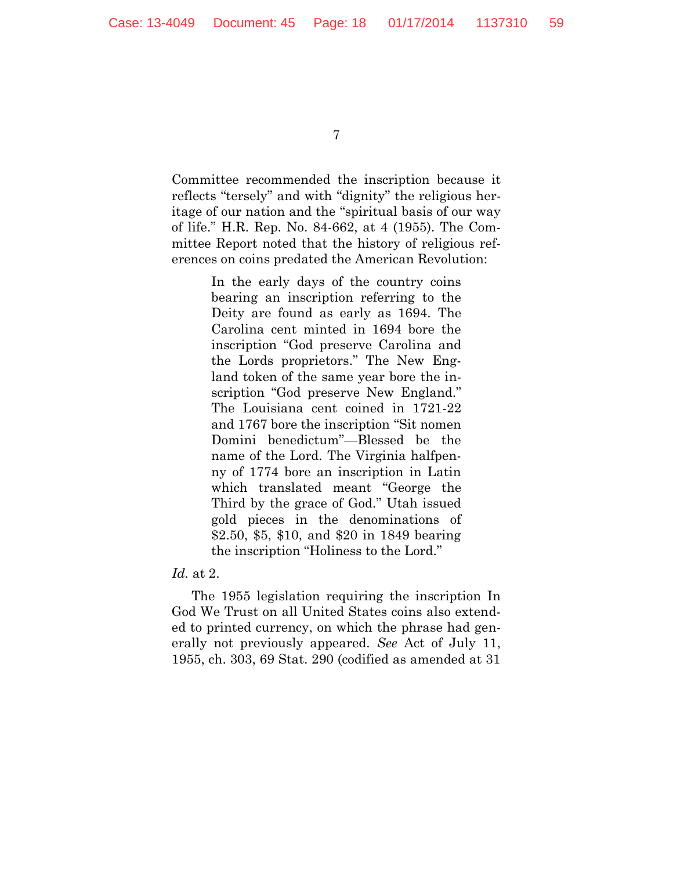Committee recommended the inscription because it reflects "tersely" and with "dignity" the religious heritage of our nation and the "spiritual basis of our way of life." H.R. Rep. No. 84-662, at 4 (1955). The Committee Report noted that the history of religious references on coins predated the American Revolution:

> In the early days of the country coins bearing an inscription referring to the Deity are found as early as 1694. The Carolina cent minted in 1694 bore the inscription "God preserve Carolina and the Lords proprietors." The New England token of the same year bore the inscription "God preserve New England." The Louisiana cent coined in 1721-22 and 1767 bore the inscription "Sit nomen Domini benedictum"—Blessed be the name of the Lord. The Virginia halfpenny of 1774 bore an inscription in Latin which translated meant "George the Third by the grace of God." Utah issued gold pieces in the denominations of \$2.50, \$5, \$10, and \$20 in 1849 bearing the inscription "Holiness to the Lord."

*Id.* at 2.

The 1955 legislation requiring the inscription In God We Trust on all United States coins also extended to printed currency, on which the phrase had generally not previously appeared. *See* Act of July 11, 1955, ch. 303, 69 Stat. 290 (codified as amended at 31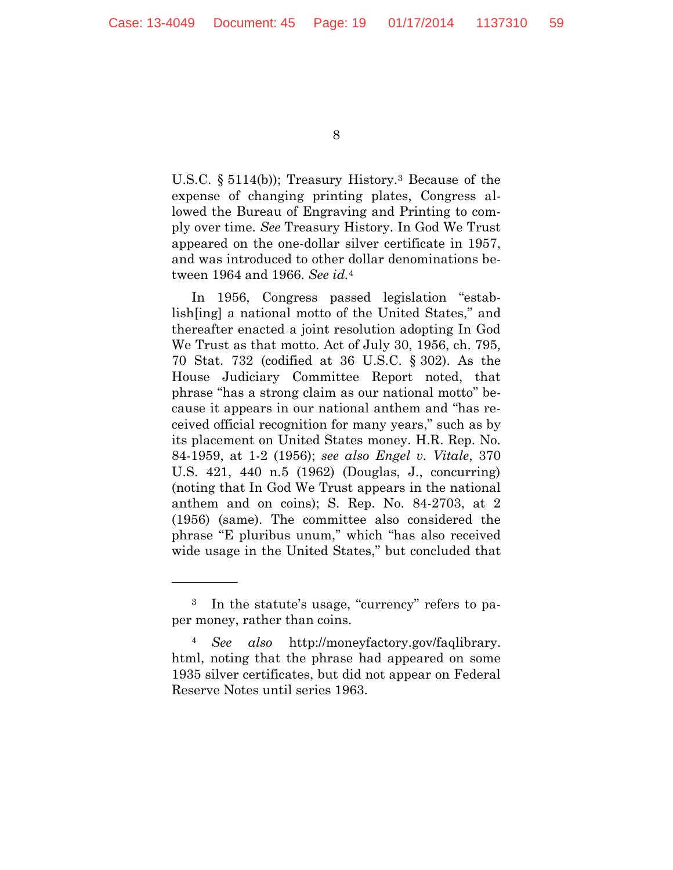U.S.C. § 5114(b)); Treasury History.<sup>3</sup> Because of the expense of changing printing plates, Congress allowed the Bureau of Engraving and Printing to comply over time. *See* Treasury History. In God We Trust appeared on the one-dollar silver certificate in 1957, and was introduced to other dollar denominations between 1964 and 1966. *See id.*<sup>4</sup>

In 1956, Congress passed legislation "establish[ing] a national motto of the United States," and thereafter enacted a joint resolution adopting In God We Trust as that motto. Act of July 30, 1956, ch. 795, 70 Stat. 732 (codified at 36 U.S.C. § 302). As the House Judiciary Committee Report noted, that phrase "has a strong claim as our national motto" because it appears in our national anthem and "has received official recognition for many years," such as by its placement on United States money. H.R. Rep. No. 84-1959, at 1-2 (1956); *see also Engel v. Vitale*, 370 U.S. 421, 440 n.5 (1962) (Douglas, J., concurring) (noting that In God We Trust appears in the national anthem and on coins); S. Rep. No. 84-2703, at 2 (1956) (same). The committee also considered the phrase "E pluribus unum," which "has also received wide usage in the United States," but concluded that

—————

<sup>3</sup> In the statute's usage, "currency" refers to paper money, rather than coins.

<sup>4</sup> *See also* http://moneyfactory.gov/faqlibrary. html, noting that the phrase had appeared on some 1935 silver certificates, but did not appear on Federal Reserve Notes until series 1963.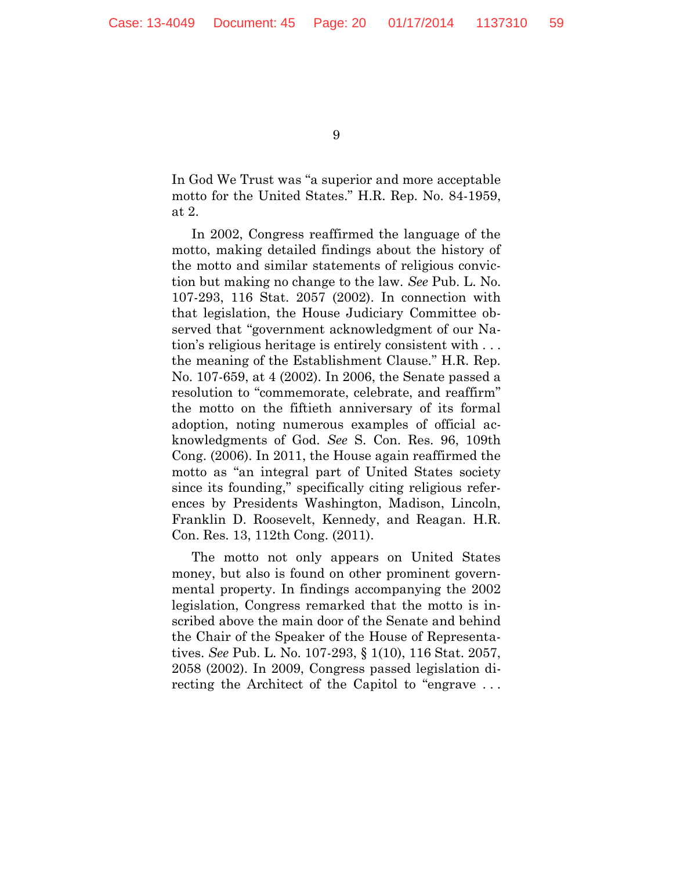In God We Trust was "a superior and more acceptable motto for the United States." H.R. Rep. No. 84-1959, at 2.

In 2002, Congress reaffirmed the language of the motto, making detailed findings about the history of the motto and similar statements of religious conviction but making no change to the law. *See* Pub. L. No. 107-293, 116 Stat. 2057 (2002). In connection with that legislation, the House Judiciary Committee observed that "government acknowledgment of our Nation's religious heritage is entirely consistent with . . . the meaning of the Establishment Clause." H.R. Rep. No. 107-659, at 4 (2002). In 2006, the Senate passed a resolution to "commemorate, celebrate, and reaffirm" the motto on the fiftieth anniversary of its formal adoption, noting numerous examples of official acknowledgments of God. *See* S. Con. Res. 96, 109th Cong. (2006). In 2011, the House again reaffirmed the motto as "an integral part of United States society since its founding," specifically citing religious references by Presidents Washington, Madison, Lincoln, Franklin D. Roosevelt, Kennedy, and Reagan. H.R. Con. Res. 13, 112th Cong. (2011).

The motto not only appears on United States money, but also is found on other prominent governmental property. In findings accompanying the 2002 legislation, Congress remarked that the motto is inscribed above the main door of the Senate and behind the Chair of the Speaker of the House of Representatives. *See* Pub. L. No. 107-293, § 1(10), 116 Stat. 2057, 2058 (2002). In 2009, Congress passed legislation directing the Architect of the Capitol to "engrave . . .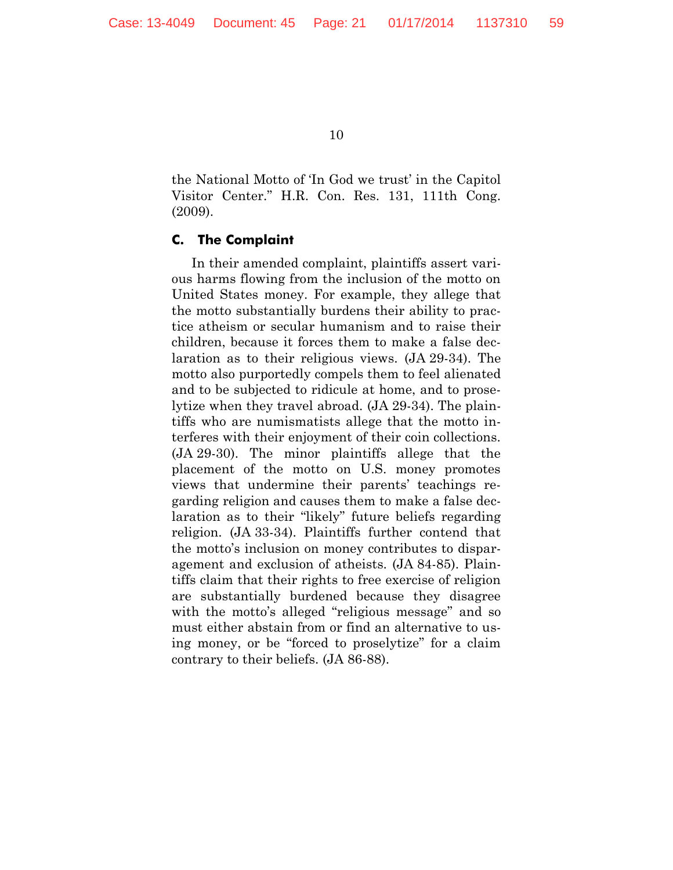the National Motto of 'In God we trust' in the Capitol Visitor Center." H.R. Con. Res. 131, 111th Cong. (2009).

#### **C. The Complaint**

In their amended complaint, plaintiffs assert various harms flowing from the inclusion of the motto on United States money. For example, they allege that the motto substantially burdens their ability to practice atheism or secular humanism and to raise their children, because it forces them to make a false declaration as to their religious views. (JA 29-34). The motto also purportedly compels them to feel alienated and to be subjected to ridicule at home, and to proselytize when they travel abroad. (JA 29-34). The plaintiffs who are numismatists allege that the motto interferes with their enjoyment of their coin collections. (JA 29-30). The minor plaintiffs allege that the placement of the motto on U.S. money promotes views that undermine their parents' teachings regarding religion and causes them to make a false declaration as to their "likely" future beliefs regarding religion. (JA 33-34). Plaintiffs further contend that the motto's inclusion on money contributes to disparagement and exclusion of atheists. (JA 84-85). Plaintiffs claim that their rights to free exercise of religion are substantially burdened because they disagree with the motto's alleged "religious message" and so must either abstain from or find an alternative to using money, or be "forced to proselytize" for a claim contrary to their beliefs. (JA 86-88).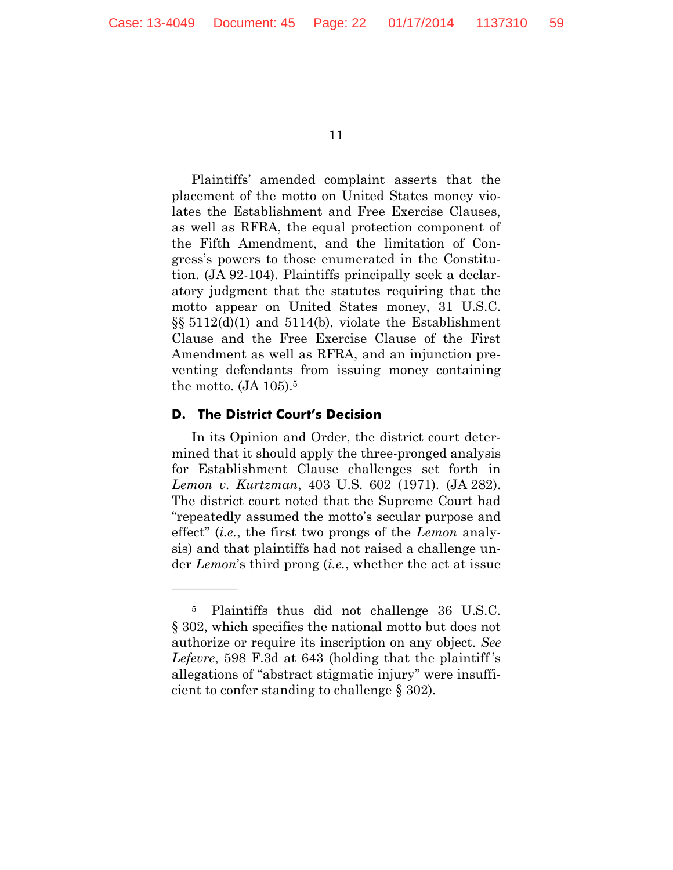Plaintiffs' amended complaint asserts that the placement of the motto on United States money violates the Establishment and Free Exercise Clauses, as well as RFRA, the equal protection component of the Fifth Amendment, and the limitation of Congress's powers to those enumerated in the Constitution. (JA 92-104). Plaintiffs principally seek a declaratory judgment that the statutes requiring that the motto appear on United States money, 31 U.S.C. §§ 5112(d)(1) and 5114(b), violate the Establishment Clause and the Free Exercise Clause of the First Amendment as well as RFRA, and an injunction preventing defendants from issuing money containing the motto. (JA 105).<sup>5</sup>

#### **D. The District Court's Decision**

—————

In its Opinion and Order, the district court determined that it should apply the three-pronged analysis for Establishment Clause challenges set forth in *Lemon v. Kurtzman*, 403 U.S. 602 (1971). (JA 282). The district court noted that the Supreme Court had "repeatedly assumed the motto's secular purpose and effect" (*i.e.*, the first two prongs of the *Lemon* analysis) and that plaintiffs had not raised a challenge under *Lemon*'s third prong (*i.e.*, whether the act at issue

<sup>5</sup> Plaintiffs thus did not challenge 36 U.S.C. § 302, which specifies the national motto but does not authorize or require its inscription on any object. *See Lefevre*, 598 F.3d at 643 (holding that the plaintiff 's allegations of "abstract stigmatic injury" were insufficient to confer standing to challenge § 302).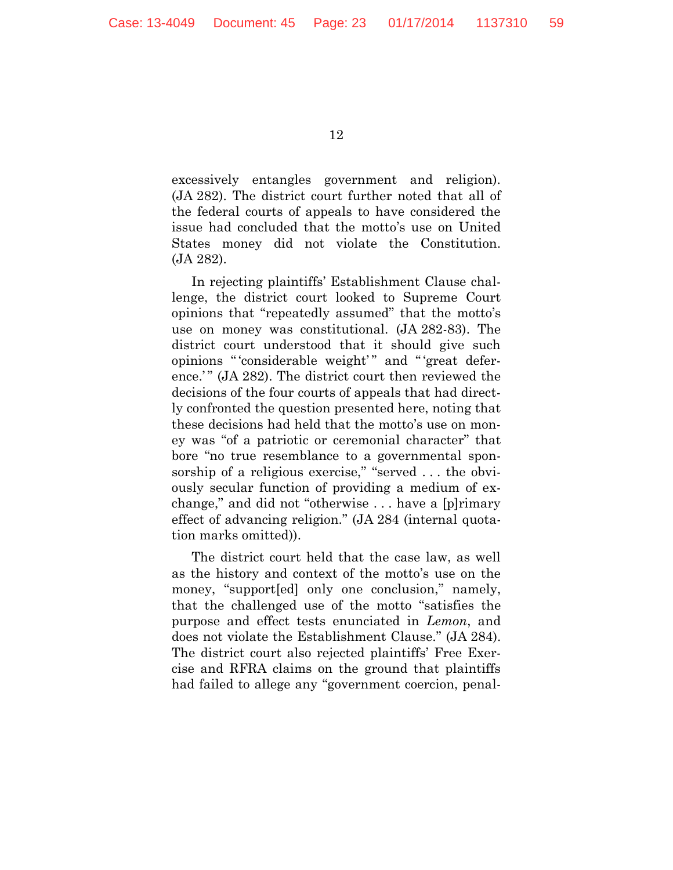excessively entangles government and religion). (JA 282). The district court further noted that all of the federal courts of appeals to have considered the issue had concluded that the motto's use on United States money did not violate the Constitution. (JA 282).

In rejecting plaintiffs' Establishment Clause challenge, the district court looked to Supreme Court opinions that "repeatedly assumed" that the motto's use on money was constitutional. (JA 282-83). The district court understood that it should give such opinions " 'considerable weight'" and " 'great deference.'" (JA 282). The district court then reviewed the decisions of the four courts of appeals that had directly confronted the question presented here, noting that these decisions had held that the motto's use on money was "of a patriotic or ceremonial character" that bore "no true resemblance to a governmental sponsorship of a religious exercise," "served ... the obviously secular function of providing a medium of exchange," and did not "otherwise . . . have a [p]rimary effect of advancing religion." (JA 284 (internal quotation marks omitted)).

The district court held that the case law, as well as the history and context of the motto's use on the money, "support[ed] only one conclusion," namely, that the challenged use of the motto "satisfies the purpose and effect tests enunciated in *Lemon*, and does not violate the Establishment Clause." (JA 284). The district court also rejected plaintiffs' Free Exercise and RFRA claims on the ground that plaintiffs had failed to allege any "government coercion, penal-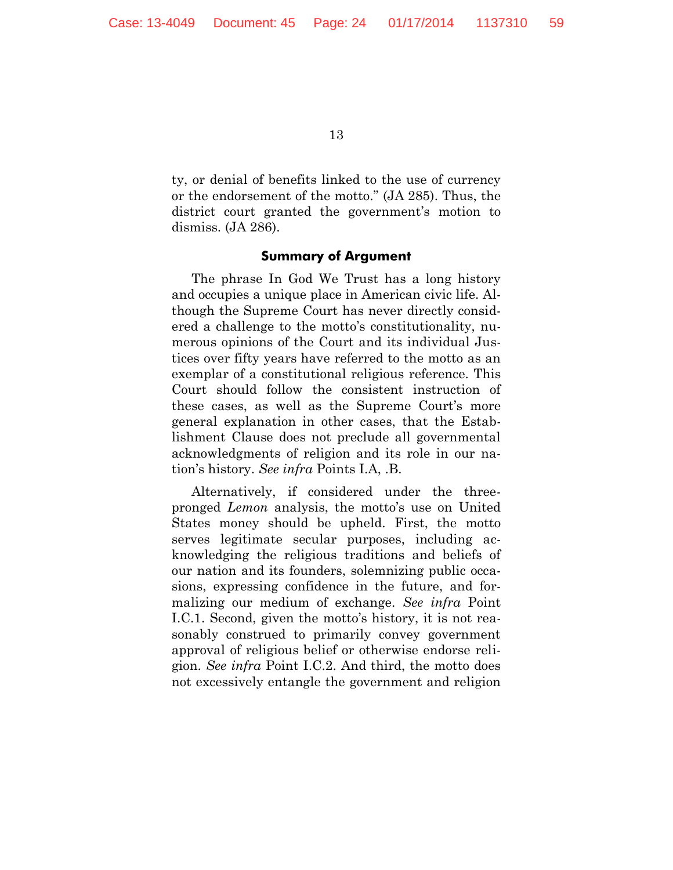ty, or denial of benefits linked to the use of currency or the endorsement of the motto." (JA 285). Thus, the district court granted the government's motion to dismiss. (JA 286).

#### **Summary of Argument**

The phrase In God We Trust has a long history and occupies a unique place in American civic life. Although the Supreme Court has never directly considered a challenge to the motto's constitutionality, numerous opinions of the Court and its individual Justices over fifty years have referred to the motto as an exemplar of a constitutional religious reference. This Court should follow the consistent instruction of these cases, as well as the Supreme Court's more general explanation in other cases, that the Establishment Clause does not preclude all governmental acknowledgments of religion and its role in our nation's history. *See infra* Points I.A, .B.

Alternatively, if considered under the threepronged *Lemon* analysis, the motto's use on United States money should be upheld. First, the motto serves legitimate secular purposes, including acknowledging the religious traditions and beliefs of our nation and its founders, solemnizing public occasions, expressing confidence in the future, and formalizing our medium of exchange. *See infra* Point I.C.1. Second, given the motto's history, it is not reasonably construed to primarily convey government approval of religious belief or otherwise endorse religion. *See infra* Point I.C.2. And third, the motto does not excessively entangle the government and religion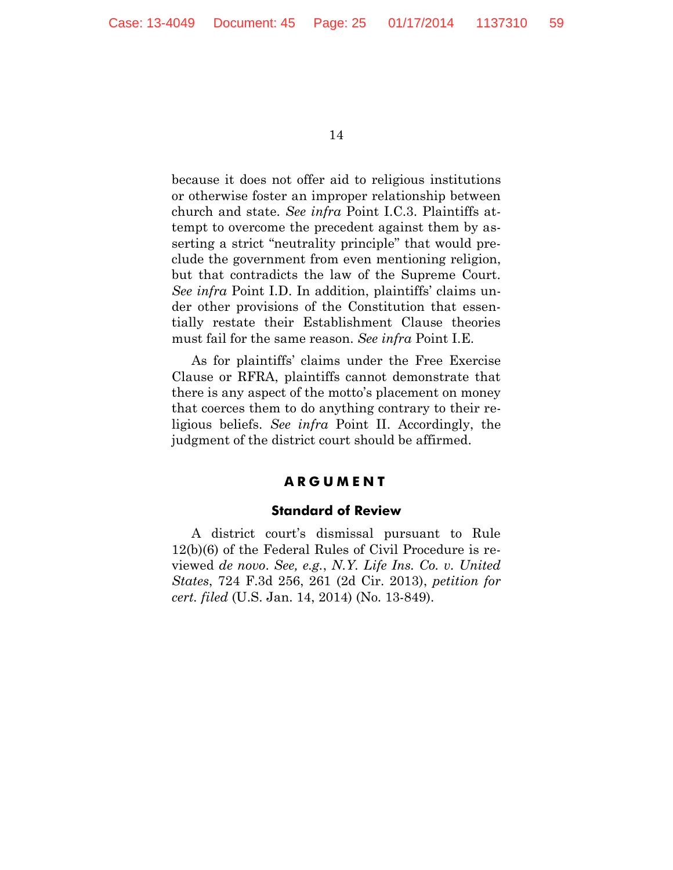because it does not offer aid to religious institutions or otherwise foster an improper relationship between church and state. *See infra* Point I.C.3. Plaintiffs attempt to overcome the precedent against them by asserting a strict "neutrality principle" that would preclude the government from even mentioning religion, but that contradicts the law of the Supreme Court. *See infra* Point I.D. In addition, plaintiffs' claims under other provisions of the Constitution that essentially restate their Establishment Clause theories must fail for the same reason. *See infra* Point I.E.

As for plaintiffs' claims under the Free Exercise Clause or RFRA, plaintiffs cannot demonstrate that there is any aspect of the motto's placement on money that coerces them to do anything contrary to their religious beliefs. *See infra* Point II. Accordingly, the judgment of the district court should be affirmed.

#### **A R G U M E N T**

#### **Standard of Review**

A district court's dismissal pursuant to Rule 12(b)(6) of the Federal Rules of Civil Procedure is reviewed *de novo*. *See, e.g.*, *N.Y. Life Ins. Co. v. United States*, 724 F.3d 256, 261 (2d Cir. 2013), *petition for cert. filed* (U.S. Jan. 14, 2014) (No. 13-849).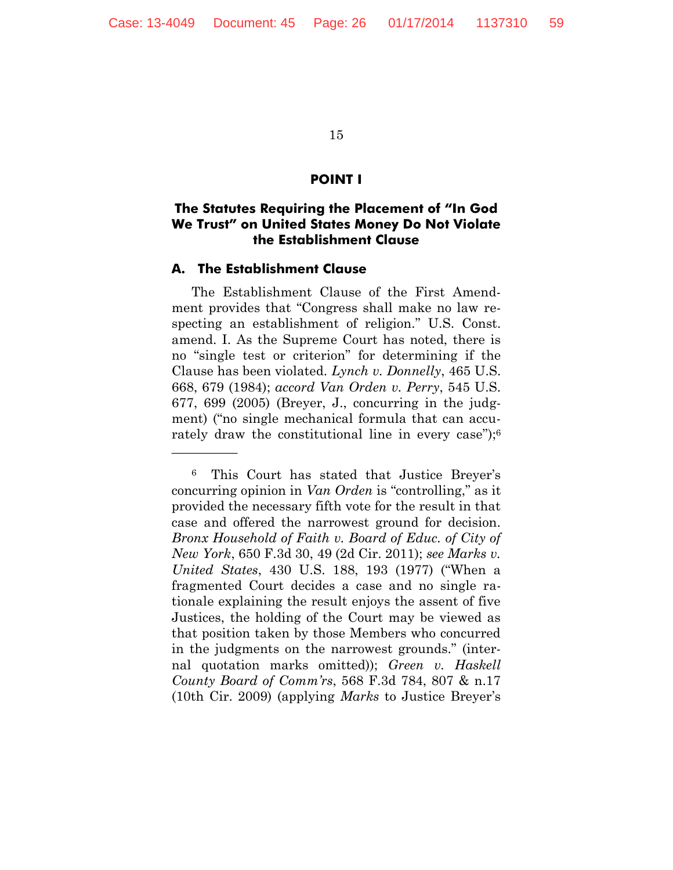#### **POINT I**

# **The Statutes Requiring the Placement of "In God We Trust" on United States Money Do Not Violate the Establishment Clause**

#### **A. The Establishment Clause**

—————

The Establishment Clause of the First Amendment provides that "Congress shall make no law respecting an establishment of religion." U.S. Const. amend. I. As the Supreme Court has noted, there is no "single test or criterion" for determining if the Clause has been violated. *Lynch v. Donnelly*, 465 U.S. 668, 679 (1984); *accord Van Orden v. Perry*, 545 U.S. 677, 699 (2005) (Breyer, J., concurring in the judgment) ("no single mechanical formula that can accurately draw the constitutional line in every case");<sup>6</sup>

<sup>6</sup> This Court has stated that Justice Breyer's concurring opinion in *Van Orden* is "controlling," as it provided the necessary fifth vote for the result in that case and offered the narrowest ground for decision. *Bronx Household of Faith v. Board of Educ. of City of New York*, 650 F.3d 30, 49 (2d Cir. 2011); *see Marks v. United States*, 430 U.S. 188, 193 (1977) ("When a fragmented Court decides a case and no single rationale explaining the result enjoys the assent of five Justices, the holding of the Court may be viewed as that position taken by those Members who concurred in the judgments on the narrowest grounds." (internal quotation marks omitted)); *Green v. Haskell County Board of Comm'rs*, 568 F.3d 784, 807 & n.17 (10th Cir. 2009) (applying *Marks* to Justice Breyer's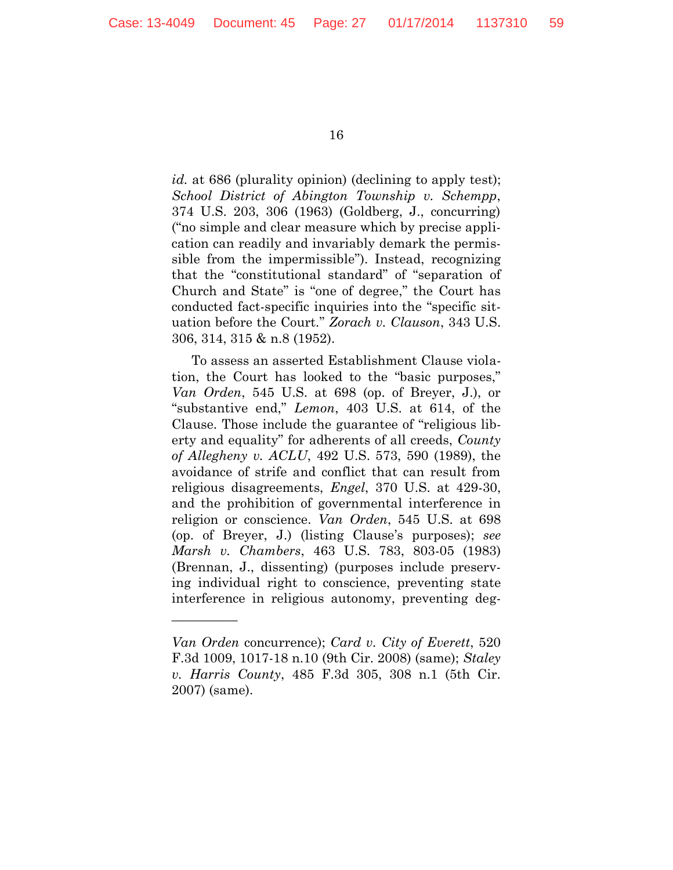*id.* at 686 (plurality opinion) (declining to apply test); *School District of Abington Township v. Schempp*, 374 U.S. 203, 306 (1963) (Goldberg, J., concurring) ("no simple and clear measure which by precise application can readily and invariably demark the permissible from the impermissible"). Instead, recognizing that the "constitutional standard" of "separation of Church and State" is "one of degree," the Court has conducted fact-specific inquiries into the "specific situation before the Court." *Zorach v. Clauson*, 343 U.S. 306, 314, 315 & n.8 (1952).

To assess an asserted Establishment Clause violation, the Court has looked to the "basic purposes," *Van Orden*, 545 U.S. at 698 (op. of Breyer, J.), or "substantive end," *Lemon*, 403 U.S. at 614, of the Clause. Those include the guarantee of "religious liberty and equality" for adherents of all creeds, *County of Allegheny v. ACLU*, 492 U.S. 573, 590 (1989), the avoidance of strife and conflict that can result from religious disagreements, *Engel*, 370 U.S. at 429-30, and the prohibition of governmental interference in religion or conscience. *Van Orden*, 545 U.S. at 698 (op. of Breyer, J.) (listing Clause's purposes); *see Marsh v. Chambers*, 463 U.S. 783, 803-05 (1983) (Brennan, J., dissenting) (purposes include preserving individual right to conscience, preventing state interference in religious autonomy, preventing deg-

—————

*Van Orden* concurrence); *Card v. City of Everett*, 520 F.3d 1009, 1017-18 n.10 (9th Cir. 2008) (same); *Staley v. Harris County*, 485 F.3d 305, 308 n.1 (5th Cir. 2007) (same).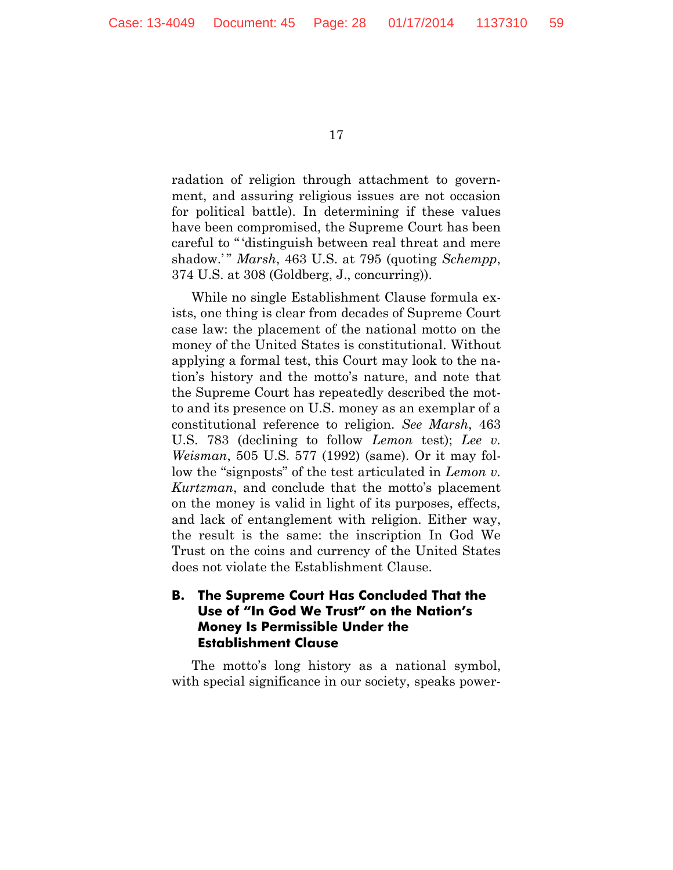radation of religion through attachment to government, and assuring religious issues are not occasion for political battle). In determining if these values have been compromised, the Supreme Court has been careful to " 'distinguish between real threat and mere shadow.' " *Marsh*, 463 U.S. at 795 (quoting *Schempp*, 374 U.S. at 308 (Goldberg, J., concurring)).

While no single Establishment Clause formula exists, one thing is clear from decades of Supreme Court case law: the placement of the national motto on the money of the United States is constitutional. Without applying a formal test, this Court may look to the nation's history and the motto's nature, and note that the Supreme Court has repeatedly described the motto and its presence on U.S. money as an exemplar of a constitutional reference to religion. *See Marsh*, 463 U.S. 783 (declining to follow *Lemon* test); *Lee v. Weisman*, 505 U.S. 577 (1992) (same). Or it may follow the "signposts" of the test articulated in *Lemon v. Kurtzman*, and conclude that the motto's placement on the money is valid in light of its purposes, effects, and lack of entanglement with religion. Either way, the result is the same: the inscription In God We Trust on the coins and currency of the United States does not violate the Establishment Clause.

# **B. The Supreme Court Has Concluded That the Use of "In God We Trust" on the Nation's Money Is Permissible Under the Establishment Clause**

The motto's long history as a national symbol, with special significance in our society, speaks power-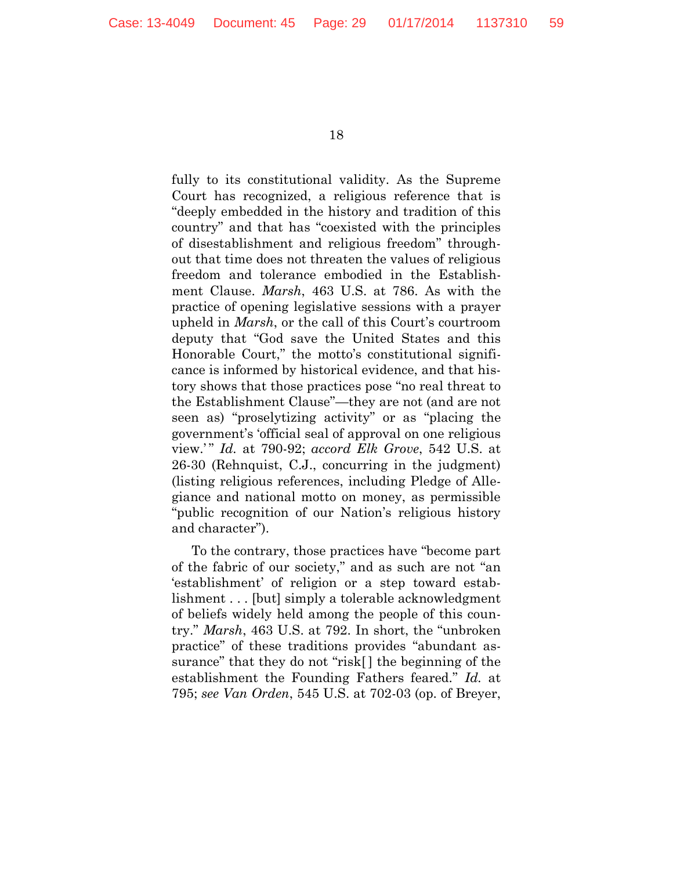fully to its constitutional validity. As the Supreme Court has recognized, a religious reference that is "deeply embedded in the history and tradition of this country" and that has "coexisted with the principles of disestablishment and religious freedom" throughout that time does not threaten the values of religious freedom and tolerance embodied in the Establishment Clause. *Marsh*, 463 U.S. at 786. As with the practice of opening legislative sessions with a prayer upheld in *Marsh*, or the call of this Court's courtroom deputy that "God save the United States and this Honorable Court," the motto's constitutional significance is informed by historical evidence, and that history shows that those practices pose "no real threat to the Establishment Clause"—they are not (and are not seen as) "proselytizing activity" or as "placing the government's 'official seal of approval on one religious view.' " *Id.* at 790-92; *accord Elk Grove*, 542 U.S. at 26-30 (Rehnquist, C.J., concurring in the judgment) (listing religious references, including Pledge of Allegiance and national motto on money, as permissible "public recognition of our Nation's religious history and character").

To the contrary, those practices have "become part of the fabric of our society," and as such are not "an 'establishment' of religion or a step toward establishment . . . [but] simply a tolerable acknowledgment of beliefs widely held among the people of this country." *Marsh*, 463 U.S. at 792. In short, the "unbroken practice" of these traditions provides "abundant assurance" that they do not "risk[ ] the beginning of the establishment the Founding Fathers feared." *Id.* at 795; *see Van Orden*, 545 U.S. at 702-03 (op. of Breyer,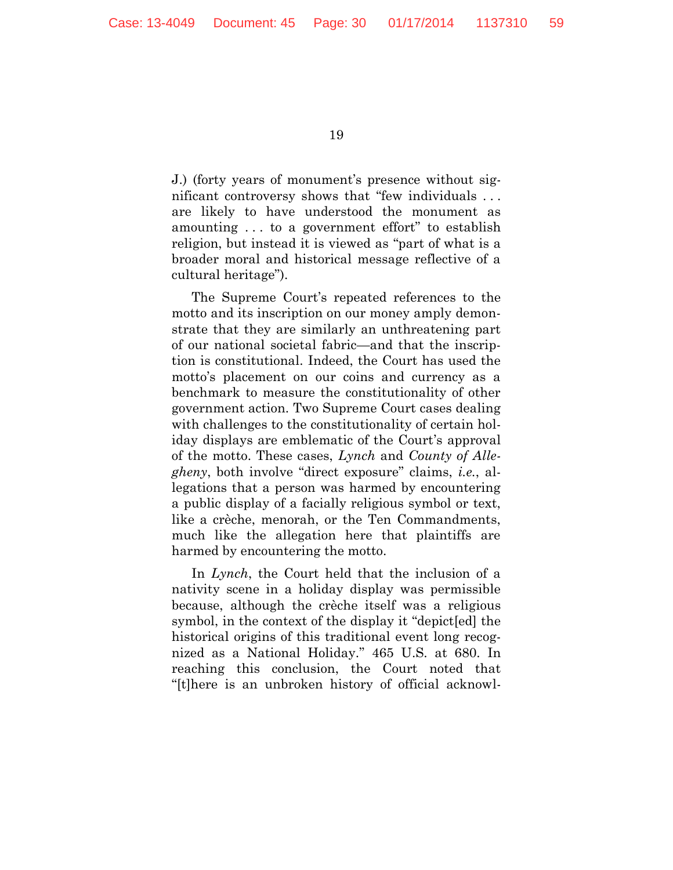J.) (forty years of monument's presence without significant controversy shows that "few individuals . . . are likely to have understood the monument as amounting . . . to a government effort" to establish religion, but instead it is viewed as "part of what is a broader moral and historical message reflective of a cultural heritage").

The Supreme Court's repeated references to the motto and its inscription on our money amply demonstrate that they are similarly an unthreatening part of our national societal fabric—and that the inscription is constitutional. Indeed, the Court has used the motto's placement on our coins and currency as a benchmark to measure the constitutionality of other government action. Two Supreme Court cases dealing with challenges to the constitutionality of certain holiday displays are emblematic of the Court's approval of the motto. These cases, *Lynch* and *County of Allegheny*, both involve "direct exposure" claims, *i.e.*, allegations that a person was harmed by encountering a public display of a facially religious symbol or text, like a crèche, menorah, or the Ten Commandments, much like the allegation here that plaintiffs are harmed by encountering the motto.

In *Lynch*, the Court held that the inclusion of a nativity scene in a holiday display was permissible because, although the crèche itself was a religious symbol, in the context of the display it "depict[ed] the historical origins of this traditional event long recognized as a National Holiday." 465 U.S. at 680. In reaching this conclusion, the Court noted that "[t]here is an unbroken history of official acknowl-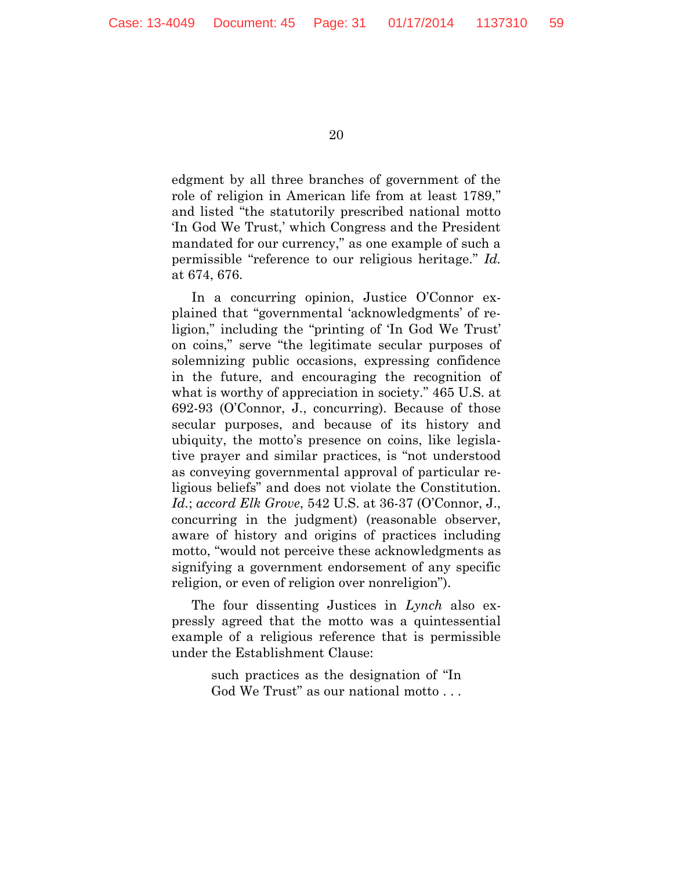edgment by all three branches of government of the role of religion in American life from at least 1789," and listed "the statutorily prescribed national motto 'In God We Trust,' which Congress and the President mandated for our currency," as one example of such a permissible "reference to our religious heritage." *Id.* at 674, 676.

In a concurring opinion, Justice O'Connor explained that "governmental 'acknowledgments' of religion," including the "printing of 'In God We Trust' on coins," serve "the legitimate secular purposes of solemnizing public occasions, expressing confidence in the future, and encouraging the recognition of what is worthy of appreciation in society." 465 U.S. at 692-93 (O'Connor, J., concurring). Because of those secular purposes, and because of its history and ubiquity, the motto's presence on coins, like legislative prayer and similar practices, is "not understood as conveying governmental approval of particular religious beliefs" and does not violate the Constitution. *Id.*; *accord Elk Grove*, 542 U.S. at 36-37 (O'Connor, J., concurring in the judgment) (reasonable observer, aware of history and origins of practices including motto, "would not perceive these acknowledgments as signifying a government endorsement of any specific religion, or even of religion over nonreligion").

The four dissenting Justices in *Lynch* also expressly agreed that the motto was a quintessential example of a religious reference that is permissible under the Establishment Clause:

> such practices as the designation of "In God We Trust" as our national motto . . .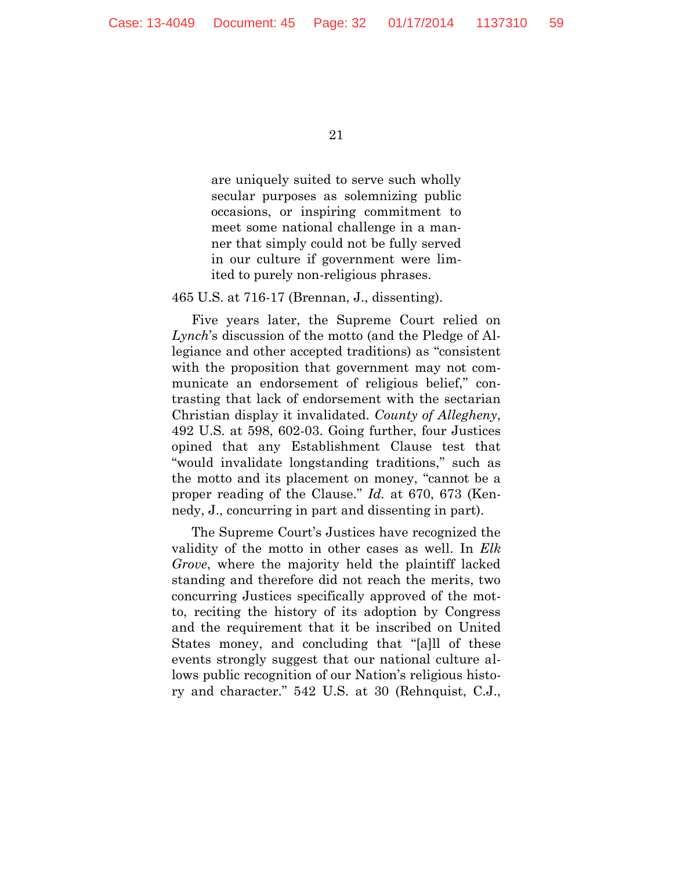are uniquely suited to serve such wholly secular purposes as solemnizing public occasions, or inspiring commitment to meet some national challenge in a manner that simply could not be fully served in our culture if government were limited to purely non-religious phrases.

#### 465 U.S. at 716-17 (Brennan, J., dissenting).

Five years later, the Supreme Court relied on *Lynch*'s discussion of the motto (and the Pledge of Allegiance and other accepted traditions) as "consistent with the proposition that government may not communicate an endorsement of religious belief," contrasting that lack of endorsement with the sectarian Christian display it invalidated. *County of Allegheny*, 492 U.S. at 598, 602-03. Going further, four Justices opined that any Establishment Clause test that "would invalidate longstanding traditions," such as the motto and its placement on money, "cannot be a proper reading of the Clause." *Id.* at 670, 673 (Kennedy, J., concurring in part and dissenting in part).

The Supreme Court's Justices have recognized the validity of the motto in other cases as well. In *Elk Grove*, where the majority held the plaintiff lacked standing and therefore did not reach the merits, two concurring Justices specifically approved of the motto, reciting the history of its adoption by Congress and the requirement that it be inscribed on United States money, and concluding that "[a]ll of these events strongly suggest that our national culture allows public recognition of our Nation's religious history and character." 542 U.S. at 30 (Rehnquist, C.J.,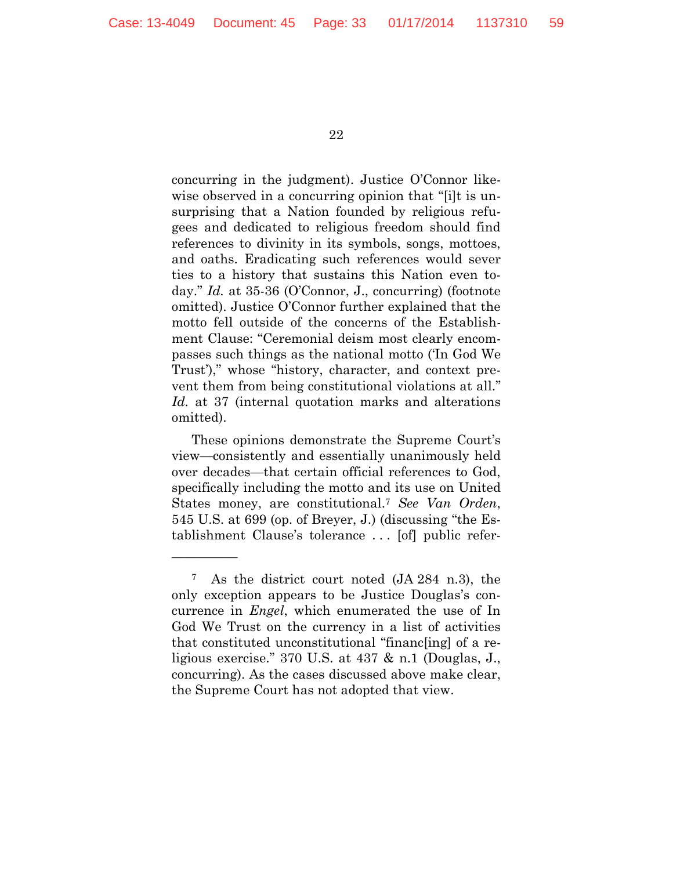concurring in the judgment). Justice O'Connor likewise observed in a concurring opinion that "[i]t is unsurprising that a Nation founded by religious refugees and dedicated to religious freedom should find references to divinity in its symbols, songs, mottoes, and oaths. Eradicating such references would sever ties to a history that sustains this Nation even today." *Id.* at 35-36 (O'Connor, J., concurring) (footnote omitted). Justice O'Connor further explained that the motto fell outside of the concerns of the Establishment Clause: "Ceremonial deism most clearly encompasses such things as the national motto ('In God We Trust')," whose "history, character, and context prevent them from being constitutional violations at all." *Id.* at 37 (internal quotation marks and alterations omitted).

These opinions demonstrate the Supreme Court's view—consistently and essentially unanimously held over decades—that certain official references to God, specifically including the motto and its use on United States money, are constitutional.<sup>7</sup> *See Van Orden*, 545 U.S. at 699 (op. of Breyer, J.) (discussing "the Establishment Clause's tolerance . . . [of] public refer-

—————

<sup>7</sup> As the district court noted (JA 284 n.3), the only exception appears to be Justice Douglas's concurrence in *Engel*, which enumerated the use of In God We Trust on the currency in a list of activities that constituted unconstitutional "financ[ing] of a religious exercise." 370 U.S. at 437 & n.1 (Douglas, J., concurring). As the cases discussed above make clear, the Supreme Court has not adopted that view.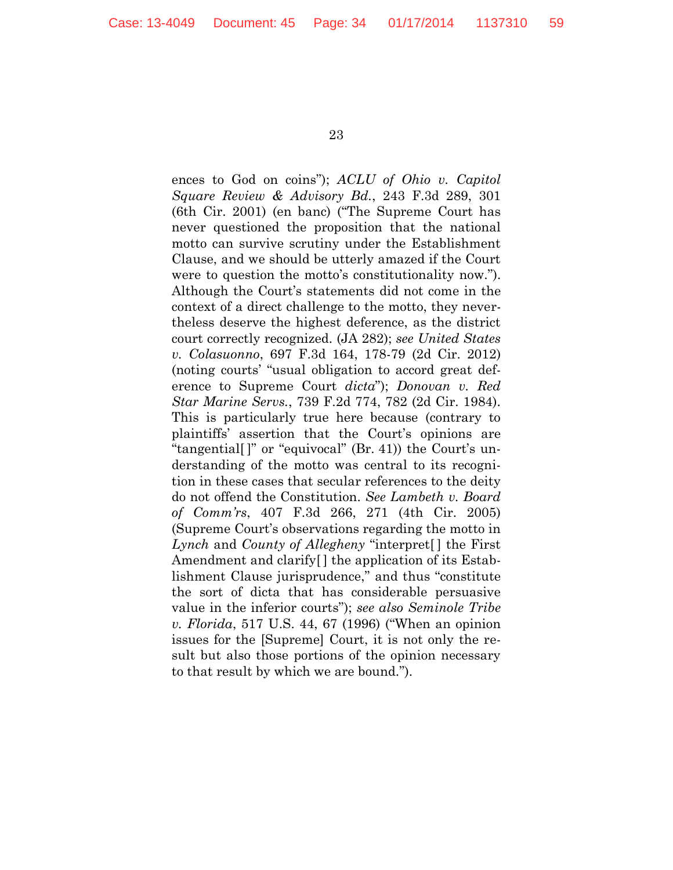ences to God on coins"); *ACLU of Ohio v. Capitol Square Review & Advisory Bd.*, 243 F.3d 289, 301 (6th Cir. 2001) (en banc) ("The Supreme Court has never questioned the proposition that the national motto can survive scrutiny under the Establishment Clause, and we should be utterly amazed if the Court were to question the motto's constitutionality now."). Although the Court's statements did not come in the context of a direct challenge to the motto, they nevertheless deserve the highest deference, as the district court correctly recognized. (JA 282); *see United States v. Colasuonno*, 697 F.3d 164, 178-79 (2d Cir. 2012) (noting courts' "usual obligation to accord great deference to Supreme Court *dicta*"); *Donovan v. Red Star Marine Servs.*, 739 F.2d 774, 782 (2d Cir. 1984). This is particularly true here because (contrary to plaintiffs' assertion that the Court's opinions are "tangential[ ]" or "equivocal" (Br. 41)) the Court's understanding of the motto was central to its recognition in these cases that secular references to the deity do not offend the Constitution. *See Lambeth v. Board of Comm'rs*, 407 F.3d 266, 271 (4th Cir. 2005) (Supreme Court's observations regarding the motto in *Lynch* and *County of Allegheny* "interpret[ ] the First Amendment and clarify[ ] the application of its Establishment Clause jurisprudence," and thus "constitute the sort of dicta that has considerable persuasive value in the inferior courts"); *see also Seminole Tribe v. Florida*, 517 U.S. 44, 67 (1996) ("When an opinion issues for the [Supreme] Court, it is not only the result but also those portions of the opinion necessary to that result by which we are bound.").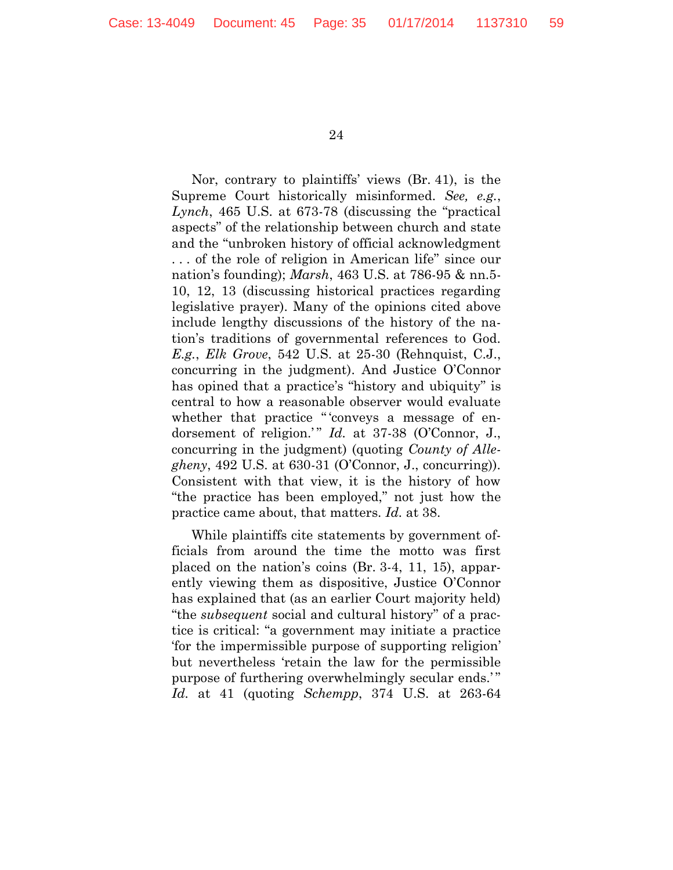Nor, contrary to plaintiffs' views (Br. 41), is the Supreme Court historically misinformed. *See, e.g.*, *Lynch*, 465 U.S. at 673-78 (discussing the "practical aspects" of the relationship between church and state and the "unbroken history of official acknowledgment . . . of the role of religion in American life" since our nation's founding); *Marsh*, 463 U.S. at 786-95 & nn.5- 10, 12, 13 (discussing historical practices regarding legislative prayer). Many of the opinions cited above include lengthy discussions of the history of the nation's traditions of governmental references to God. *E.g.*, *Elk Grove*, 542 U.S. at 25-30 (Rehnquist, C.J., concurring in the judgment). And Justice O'Connor has opined that a practice's "history and ubiquity" is central to how a reasonable observer would evaluate whether that practice "'conveys a message of endorsement of religion.'" *Id.* at 37-38 (O'Connor, J., concurring in the judgment) (quoting *County of Allegheny*, 492 U.S. at 630-31 (O'Connor, J., concurring)). Consistent with that view, it is the history of how "the practice has been employed," not just how the practice came about, that matters. *Id.* at 38.

While plaintiffs cite statements by government officials from around the time the motto was first placed on the nation's coins (Br. 3-4, 11, 15), apparently viewing them as dispositive, Justice O'Connor has explained that (as an earlier Court majority held) "the *subsequent* social and cultural history" of a practice is critical: "a government may initiate a practice 'for the impermissible purpose of supporting religion' but nevertheless 'retain the law for the permissible purpose of furthering overwhelmingly secular ends.'" *Id.* at 41 (quoting *Schempp*, 374 U.S. at 263-64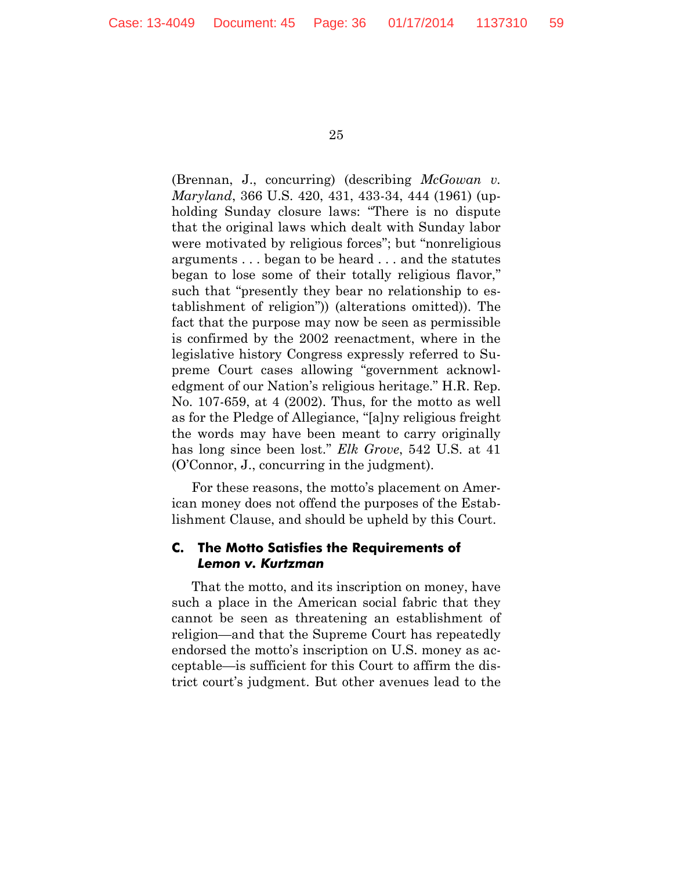(Brennan, J., concurring) (describing *McGowan v. Maryland*, 366 U.S. 420, 431, 433-34, 444 (1961) (upholding Sunday closure laws: "There is no dispute that the original laws which dealt with Sunday labor were motivated by religious forces"; but "nonreligious arguments . . . began to be heard . . . and the statutes began to lose some of their totally religious flavor," such that "presently they bear no relationship to establishment of religion")) (alterations omitted)). The fact that the purpose may now be seen as permissible is confirmed by the 2002 reenactment, where in the legislative history Congress expressly referred to Supreme Court cases allowing "government acknowledgment of our Nation's religious heritage." H.R. Rep. No. 107-659, at 4 (2002). Thus, for the motto as well as for the Pledge of Allegiance, "[a]ny religious freight the words may have been meant to carry originally has long since been lost." *Elk Grove*, 542 U.S. at 41 (O'Connor, J., concurring in the judgment).

For these reasons, the motto's placement on American money does not offend the purposes of the Establishment Clause, and should be upheld by this Court.

#### **C. The Motto Satisfies the Requirements of**  *Lemon v. Kurtzman*

That the motto, and its inscription on money, have such a place in the American social fabric that they cannot be seen as threatening an establishment of religion—and that the Supreme Court has repeatedly endorsed the motto's inscription on U.S. money as acceptable—is sufficient for this Court to affirm the district court's judgment. But other avenues lead to the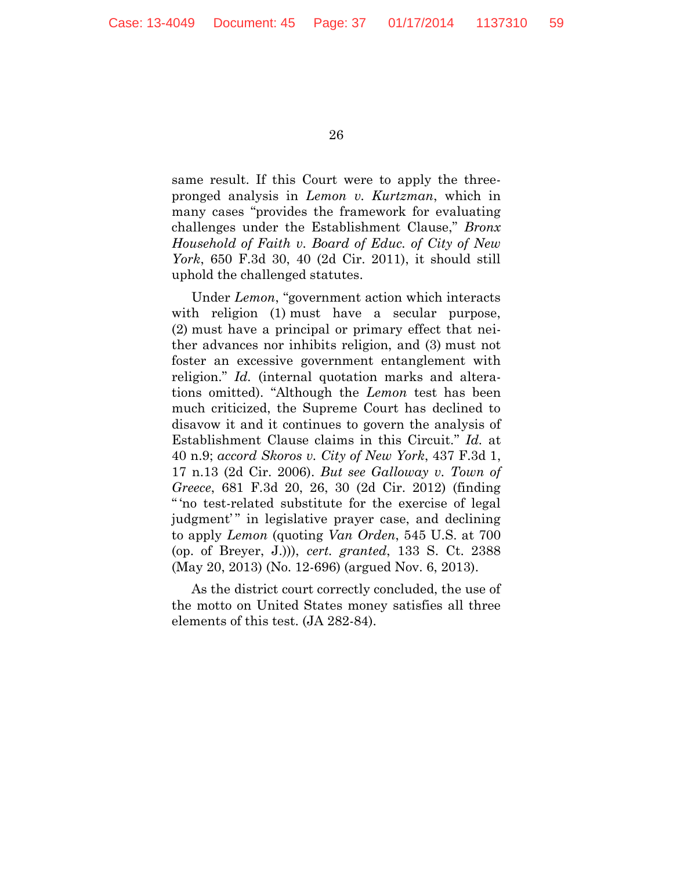same result. If this Court were to apply the threepronged analysis in *Lemon v. Kurtzman*, which in many cases "provides the framework for evaluating challenges under the Establishment Clause," *Bronx Household of Faith v. Board of Educ. of City of New York*, 650 F.3d 30, 40 (2d Cir. 2011), it should still uphold the challenged statutes.

Under *Lemon*, "government action which interacts with religion (1) must have a secular purpose, (2) must have a principal or primary effect that neither advances nor inhibits religion, and (3) must not foster an excessive government entanglement with religion." *Id.* (internal quotation marks and alterations omitted). "Although the *Lemon* test has been much criticized, the Supreme Court has declined to disavow it and it continues to govern the analysis of Establishment Clause claims in this Circuit." *Id.* at 40 n.9; *accord Skoros v. City of New York*, 437 F.3d 1, 17 n.13 (2d Cir. 2006). *But see Galloway v. Town of Greece*, 681 F.3d 20, 26, 30 (2d Cir. 2012) (finding " 'no test-related substitute for the exercise of legal judgment'" in legislative prayer case, and declining to apply *Lemon* (quoting *Van Orden*, 545 U.S. at 700 (op. of Breyer, J.))), *cert. granted*, 133 S. Ct. 2388 (May 20, 2013) (No. 12-696) (argued Nov. 6, 2013).

As the district court correctly concluded, the use of the motto on United States money satisfies all three elements of this test. (JA 282-84).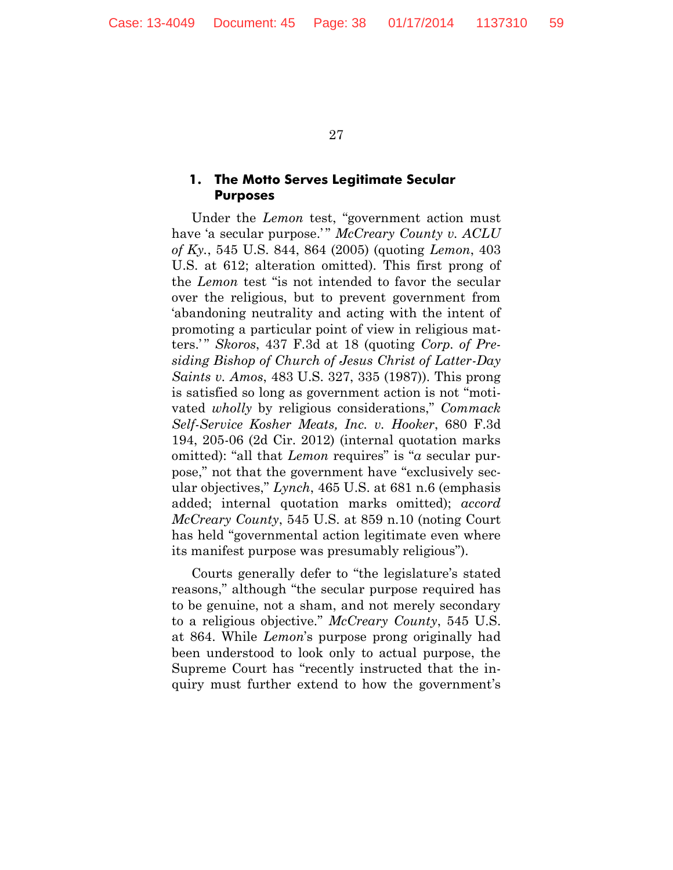#### **1. The Motto Serves Legitimate Secular Purposes**

Under the *Lemon* test, "government action must have 'a secular purpose.'" McCreary County v. ACLU *of Ky.*, 545 U.S. 844, 864 (2005) (quoting *Lemon*, 403 U.S. at 612; alteration omitted). This first prong of the *Lemon* test "is not intended to favor the secular over the religious, but to prevent government from 'abandoning neutrality and acting with the intent of promoting a particular point of view in religious matters.' " *Skoros*, 437 F.3d at 18 (quoting *Corp. of Presiding Bishop of Church of Jesus Christ of Latter-Day Saints v. Amos*, 483 U.S. 327, 335 (1987)). This prong is satisfied so long as government action is not "motivated *wholly* by religious considerations," *Commack Self-Service Kosher Meats, Inc. v. Hooker*, 680 F.3d 194, 205-06 (2d Cir. 2012) (internal quotation marks omitted): "all that *Lemon* requires" is "*a* secular purpose," not that the government have "exclusively secular objectives," *Lynch*, 465 U.S. at 681 n.6 (emphasis added; internal quotation marks omitted); *accord McCreary County*, 545 U.S. at 859 n.10 (noting Court has held "governmental action legitimate even where its manifest purpose was presumably religious").

Courts generally defer to "the legislature's stated reasons," although "the secular purpose required has to be genuine, not a sham, and not merely secondary to a religious objective." *McCreary County*, 545 U.S. at 864. While *Lemon*'s purpose prong originally had been understood to look only to actual purpose, the Supreme Court has "recently instructed that the inquiry must further extend to how the government's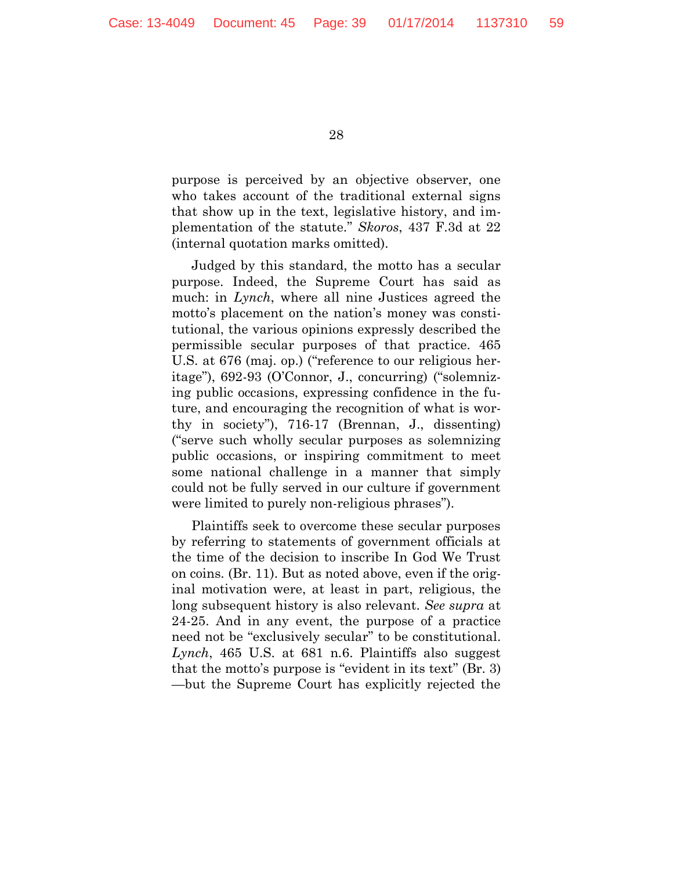purpose is perceived by an objective observer, one who takes account of the traditional external signs that show up in the text, legislative history, and implementation of the statute." *Skoros*, 437 F.3d at 22 (internal quotation marks omitted).

Judged by this standard, the motto has a secular purpose. Indeed, the Supreme Court has said as much: in *Lynch*, where all nine Justices agreed the motto's placement on the nation's money was constitutional, the various opinions expressly described the permissible secular purposes of that practice. 465 U.S. at 676 (maj. op.) ("reference to our religious heritage"), 692-93 (O'Connor, J., concurring) ("solemnizing public occasions, expressing confidence in the future, and encouraging the recognition of what is worthy in society"), 716-17 (Brennan, J., dissenting) ("serve such wholly secular purposes as solemnizing public occasions, or inspiring commitment to meet some national challenge in a manner that simply could not be fully served in our culture if government were limited to purely non-religious phrases").

Plaintiffs seek to overcome these secular purposes by referring to statements of government officials at the time of the decision to inscribe In God We Trust on coins. (Br. 11). But as noted above, even if the original motivation were, at least in part, religious, the long subsequent history is also relevant. *See supra* at 24-25. And in any event, the purpose of a practice need not be "exclusively secular" to be constitutional. *Lynch*, 465 U.S. at 681 n.6. Plaintiffs also suggest that the motto's purpose is "evident in its text" (Br. 3) —but the Supreme Court has explicitly rejected the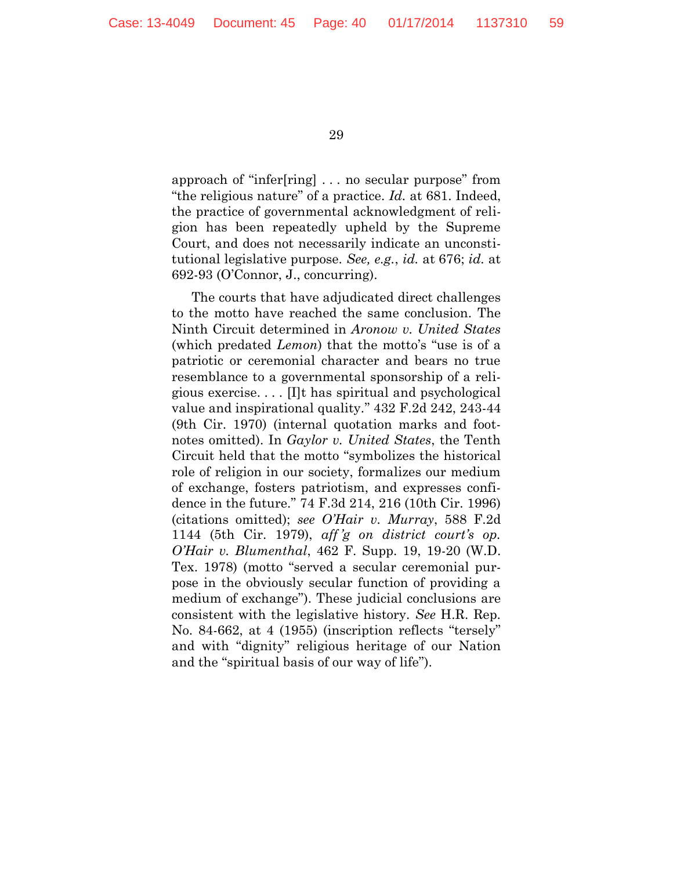approach of "infer[ring] . . . no secular purpose" from "the religious nature" of a practice. *Id.* at 681. Indeed, the practice of governmental acknowledgment of religion has been repeatedly upheld by the Supreme Court, and does not necessarily indicate an unconstitutional legislative purpose. *See, e.g.*, *id.* at 676; *id.* at 692-93 (O'Connor, J., concurring).

The courts that have adjudicated direct challenges to the motto have reached the same conclusion. The Ninth Circuit determined in *Aronow v. United States* (which predated *Lemon*) that the motto's "use is of a patriotic or ceremonial character and bears no true resemblance to a governmental sponsorship of a religious exercise. . . . [I]t has spiritual and psychological value and inspirational quality." 432 F.2d 242, 243-44 (9th Cir. 1970) (internal quotation marks and footnotes omitted). In *Gaylor v. United States*, the Tenth Circuit held that the motto "symbolizes the historical role of religion in our society, formalizes our medium of exchange, fosters patriotism, and expresses confidence in the future." 74 F.3d 214, 216 (10th Cir. 1996) (citations omitted); *see O'Hair v. Murray*, 588 F.2d 1144 (5th Cir. 1979), *aff 'g on district court's op. O'Hair v. Blumenthal*, 462 F. Supp. 19, 19-20 (W.D. Tex. 1978) (motto "served a secular ceremonial purpose in the obviously secular function of providing a medium of exchange"). These judicial conclusions are consistent with the legislative history. *See* H.R. Rep. No. 84-662, at 4 (1955) (inscription reflects "tersely" and with "dignity" religious heritage of our Nation and the "spiritual basis of our way of life").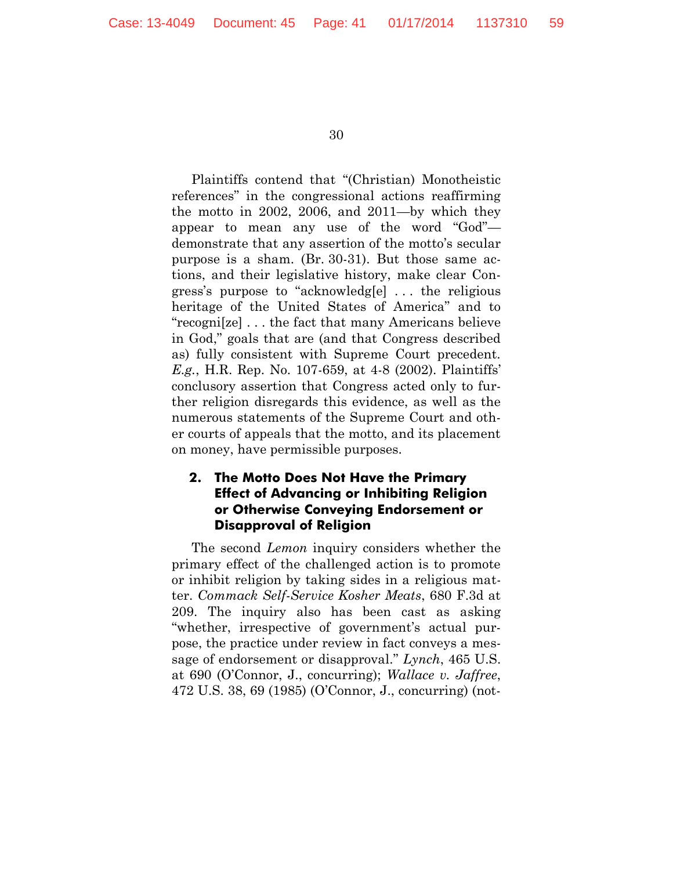Plaintiffs contend that "(Christian) Monotheistic references" in the congressional actions reaffirming the motto in 2002, 2006, and 2011—by which they appear to mean any use of the word "God" demonstrate that any assertion of the motto's secular purpose is a sham. (Br. 30-31). But those same actions, and their legislative history, make clear Congress's purpose to "acknowledg[e] . . . the religious heritage of the United States of America" and to "recogni[ze] . . . the fact that many Americans believe in God," goals that are (and that Congress described as) fully consistent with Supreme Court precedent. *E.g.*, H.R. Rep. No. 107-659, at 4-8 (2002). Plaintiffs' conclusory assertion that Congress acted only to further religion disregards this evidence, as well as the numerous statements of the Supreme Court and other courts of appeals that the motto, and its placement on money, have permissible purposes.

# **2. The Motto Does Not Have the Primary Effect of Advancing or Inhibiting Religion or Otherwise Conveying Endorsement or Disapproval of Religion**

The second *Lemon* inquiry considers whether the primary effect of the challenged action is to promote or inhibit religion by taking sides in a religious matter. *Commack Self-Service Kosher Meats*, 680 F.3d at 209. The inquiry also has been cast as asking "whether, irrespective of government's actual purpose, the practice under review in fact conveys a message of endorsement or disapproval." *Lynch*, 465 U.S. at 690 (O'Connor, J., concurring); *Wallace v. Jaffree*, 472 U.S. 38, 69 (1985) (O'Connor, J., concurring) (not-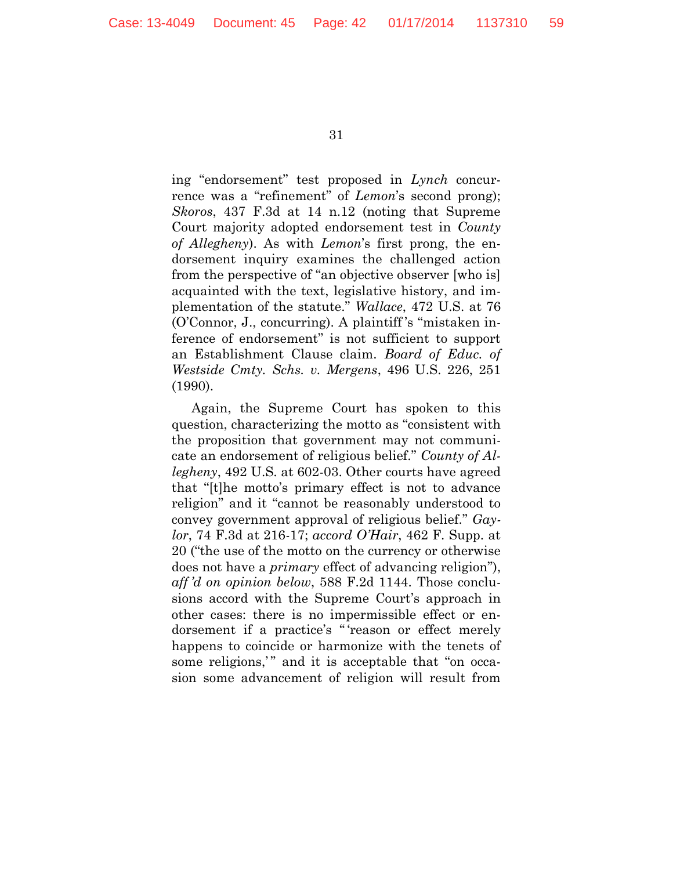ing "endorsement" test proposed in *Lynch* concurrence was a "refinement" of *Lemon*'s second prong); *Skoros*, 437 F.3d at 14 n.12 (noting that Supreme Court majority adopted endorsement test in *County of Allegheny*). As with *Lemon*'s first prong, the endorsement inquiry examines the challenged action from the perspective of "an objective observer [who is] acquainted with the text, legislative history, and implementation of the statute." *Wallace*, 472 U.S. at 76 (O'Connor, J., concurring). A plaintiff 's "mistaken inference of endorsement" is not sufficient to support an Establishment Clause claim. *Board of Educ. of Westside Cmty. Schs. v. Mergens*, 496 U.S. 226, 251 (1990).

Again, the Supreme Court has spoken to this question, characterizing the motto as "consistent with the proposition that government may not communicate an endorsement of religious belief." *County of Allegheny*, 492 U.S. at 602-03. Other courts have agreed that "[t]he motto's primary effect is not to advance religion" and it "cannot be reasonably understood to convey government approval of religious belief." *Gaylor*, 74 F.3d at 216-17; *accord O'Hair*, 462 F. Supp. at 20 ("the use of the motto on the currency or otherwise does not have a *primary* effect of advancing religion"), *aff 'd on opinion below*, 588 F.2d 1144. Those conclusions accord with the Supreme Court's approach in other cases: there is no impermissible effect or endorsement if a practice's " 'reason or effect merely happens to coincide or harmonize with the tenets of some religions," and it is acceptable that "on occasion some advancement of religion will result from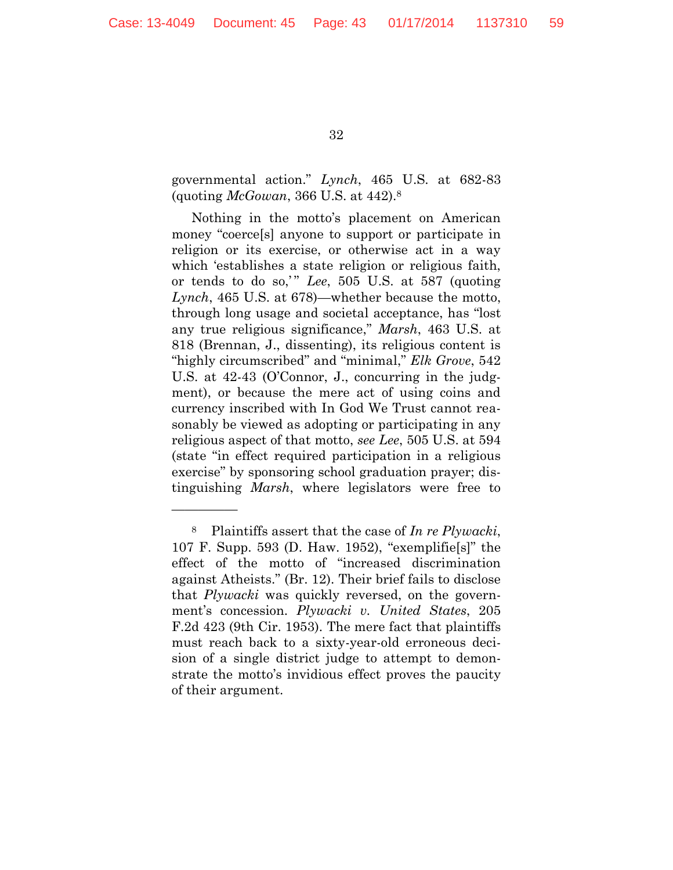—————

32

governmental action." *Lynch*, 465 U.S. at 682-83 (quoting *McGowan*, 366 U.S. at 442).<sup>8</sup>

Nothing in the motto's placement on American money "coerce[s] anyone to support or participate in religion or its exercise, or otherwise act in a way which 'establishes a state religion or religious faith, or tends to do so,' " *Lee*, 505 U.S. at 587 (quoting *Lynch*, 465 U.S. at 678)—whether because the motto, through long usage and societal acceptance, has "lost any true religious significance," *Marsh*, 463 U.S. at 818 (Brennan, J., dissenting), its religious content is "highly circumscribed" and "minimal," *Elk Grove*, 542 U.S. at 42-43 (O'Connor, J., concurring in the judgment), or because the mere act of using coins and currency inscribed with In God We Trust cannot reasonably be viewed as adopting or participating in any religious aspect of that motto, *see Lee*, 505 U.S. at 594 (state "in effect required participation in a religious exercise" by sponsoring school graduation prayer; distinguishing *Marsh*, where legislators were free to

<sup>8</sup> Plaintiffs assert that the case of *In re Plywacki*, 107 F. Supp. 593 (D. Haw. 1952), "exemplifie[s]" the effect of the motto of "increased discrimination against Atheists." (Br. 12). Their brief fails to disclose that *Plywacki* was quickly reversed, on the government's concession. *Plywacki v. United States*, 205 F.2d 423 (9th Cir. 1953). The mere fact that plaintiffs must reach back to a sixty-year-old erroneous decision of a single district judge to attempt to demonstrate the motto's invidious effect proves the paucity of their argument.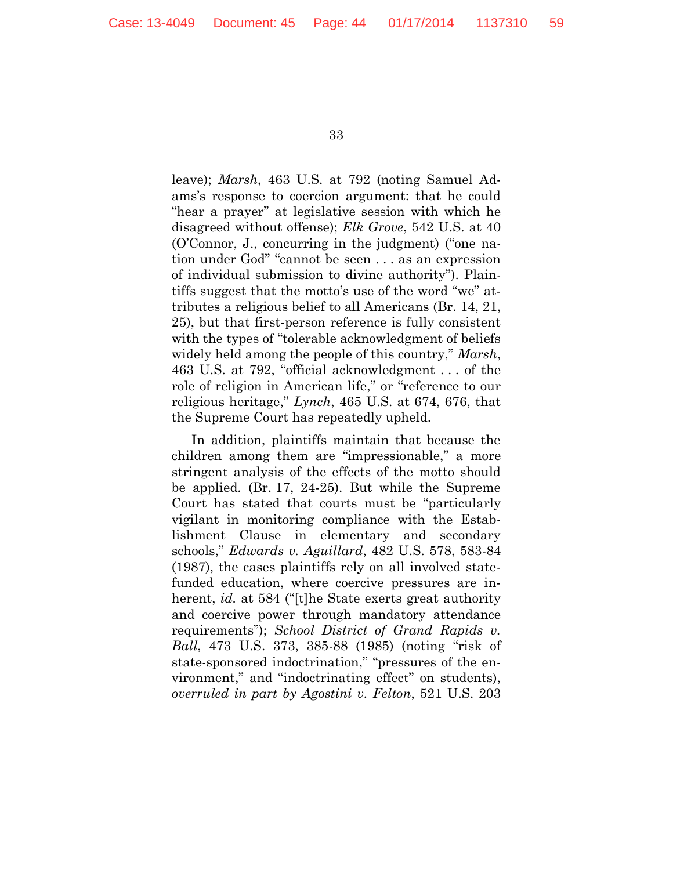leave); *Marsh*, 463 U.S. at 792 (noting Samuel Adams's response to coercion argument: that he could "hear a prayer" at legislative session with which he disagreed without offense); *Elk Grove*, 542 U.S. at 40 (O'Connor, J., concurring in the judgment) ("one nation under God" "cannot be seen . . . as an expression of individual submission to divine authority"). Plaintiffs suggest that the motto's use of the word "we" attributes a religious belief to all Americans (Br. 14, 21, 25), but that first-person reference is fully consistent with the types of "tolerable acknowledgment of beliefs widely held among the people of this country," *Marsh*, 463 U.S. at 792, "official acknowledgment . . . of the role of religion in American life," or "reference to our religious heritage," *Lynch*, 465 U.S. at 674, 676, that the Supreme Court has repeatedly upheld.

In addition, plaintiffs maintain that because the children among them are "impressionable," a more stringent analysis of the effects of the motto should be applied. (Br. 17, 24-25). But while the Supreme Court has stated that courts must be "particularly vigilant in monitoring compliance with the Establishment Clause in elementary and secondary schools," *Edwards v. Aguillard*, 482 U.S. 578, 583-84 (1987), the cases plaintiffs rely on all involved statefunded education, where coercive pressures are inherent, *id.* at 584 ("[t]he State exerts great authority and coercive power through mandatory attendance requirements"); *School District of Grand Rapids v. Ball*, 473 U.S. 373, 385-88 (1985) (noting "risk of state-sponsored indoctrination," "pressures of the environment," and "indoctrinating effect" on students), *overruled in part by Agostini v. Felton*, 521 U.S. 203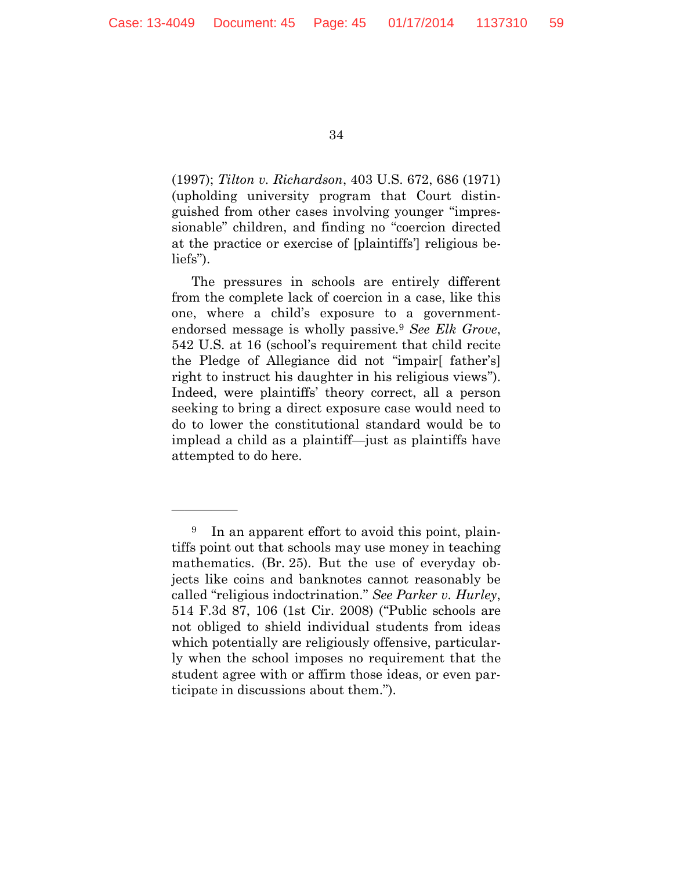—————

34

(1997); *Tilton v. Richardson*, 403 U.S. 672, 686 (1971) (upholding university program that Court distinguished from other cases involving younger "impressionable" children, and finding no "coercion directed at the practice or exercise of [plaintiffs'] religious beliefs").

The pressures in schools are entirely different from the complete lack of coercion in a case, like this one, where a child's exposure to a governmentendorsed message is wholly passive.<sup>9</sup> *See Elk Grove*, 542 U.S. at 16 (school's requirement that child recite the Pledge of Allegiance did not "impair[ father's] right to instruct his daughter in his religious views"). Indeed, were plaintiffs' theory correct, all a person seeking to bring a direct exposure case would need to do to lower the constitutional standard would be to implead a child as a plaintiff—just as plaintiffs have attempted to do here.

<sup>&</sup>lt;sup>9</sup> In an apparent effort to avoid this point, plaintiffs point out that schools may use money in teaching mathematics. (Br. 25). But the use of everyday objects like coins and banknotes cannot reasonably be called "religious indoctrination." *See Parker v. Hurley*, 514 F.3d 87, 106 (1st Cir. 2008) ("Public schools are not obliged to shield individual students from ideas which potentially are religiously offensive, particularly when the school imposes no requirement that the student agree with or affirm those ideas, or even participate in discussions about them.").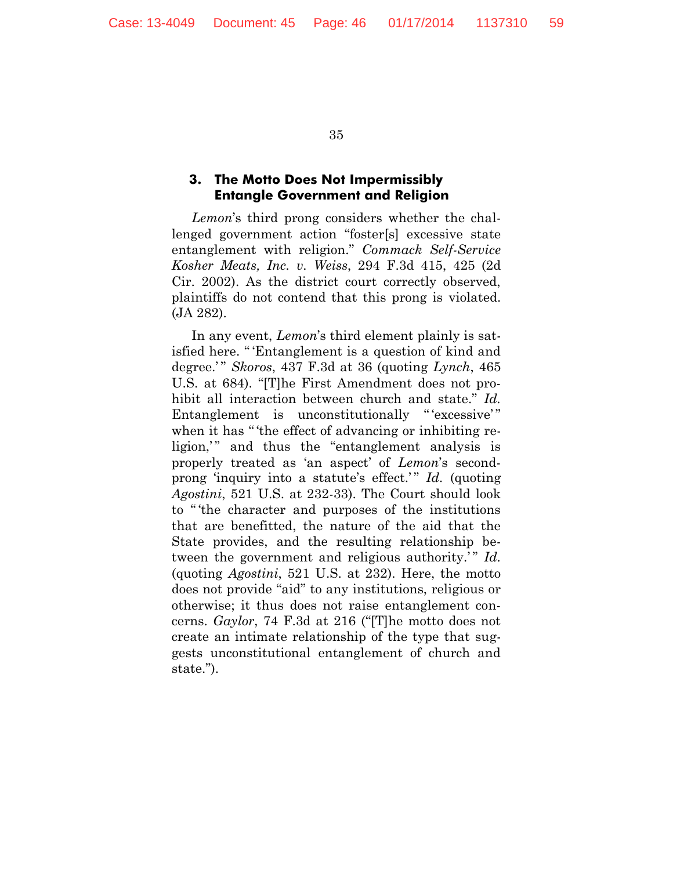#### **3. The Motto Does Not Impermissibly Entangle Government and Religion**

*Lemon*'s third prong considers whether the challenged government action "foster[s] excessive state entanglement with religion." *Commack Self-Service Kosher Meats, Inc. v. Weiss*, 294 F.3d 415, 425 (2d Cir. 2002). As the district court correctly observed, plaintiffs do not contend that this prong is violated. (JA 282).

In any event, *Lemon*'s third element plainly is satisfied here. " 'Entanglement is a question of kind and degree.' " *Skoros*, 437 F.3d at 36 (quoting *Lynch*, 465 U.S. at 684). "[T]he First Amendment does not prohibit all interaction between church and state." *Id.* Entanglement is unconstitutionally "excessive" when it has " 'the effect of advancing or inhibiting religion," and thus the "entanglement analysis is properly treated as 'an aspect' of *Lemon*'s secondprong 'inquiry into a statute's effect.'" *Id.* (quoting *Agostini*, 521 U.S. at 232-33). The Court should look to " 'the character and purposes of the institutions that are benefitted, the nature of the aid that the State provides, and the resulting relationship between the government and religious authority.'" *Id.* (quoting *Agostini*, 521 U.S. at 232). Here, the motto does not provide "aid" to any institutions, religious or otherwise; it thus does not raise entanglement concerns. *Gaylor*, 74 F.3d at 216 ("[T]he motto does not create an intimate relationship of the type that suggests unconstitutional entanglement of church and state.").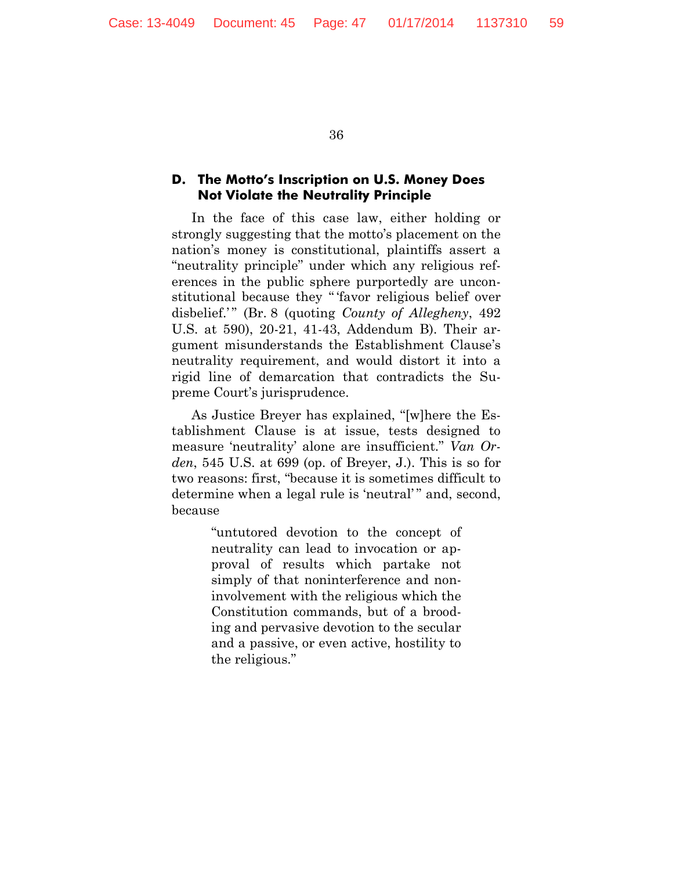#### **D. The Motto's Inscription on U.S. Money Does Not Violate the Neutrality Principle**

In the face of this case law, either holding or strongly suggesting that the motto's placement on the nation's money is constitutional, plaintiffs assert a "neutrality principle" under which any religious references in the public sphere purportedly are unconstitutional because they " 'favor religious belief over disbelief.'" (Br. 8 (quoting *County of Allegheny*, 492) U.S. at 590), 20-21, 41-43, Addendum B). Their argument misunderstands the Establishment Clause's neutrality requirement, and would distort it into a rigid line of demarcation that contradicts the Supreme Court's jurisprudence.

As Justice Breyer has explained, "[w]here the Establishment Clause is at issue, tests designed to measure 'neutrality' alone are insufficient." *Van Orden*, 545 U.S. at 699 (op. of Breyer, J.). This is so for two reasons: first, "because it is sometimes difficult to determine when a legal rule is 'neutral'" and, second, because

> "untutored devotion to the concept of neutrality can lead to invocation or approval of results which partake not simply of that noninterference and noninvolvement with the religious which the Constitution commands, but of a brooding and pervasive devotion to the secular and a passive, or even active, hostility to the religious."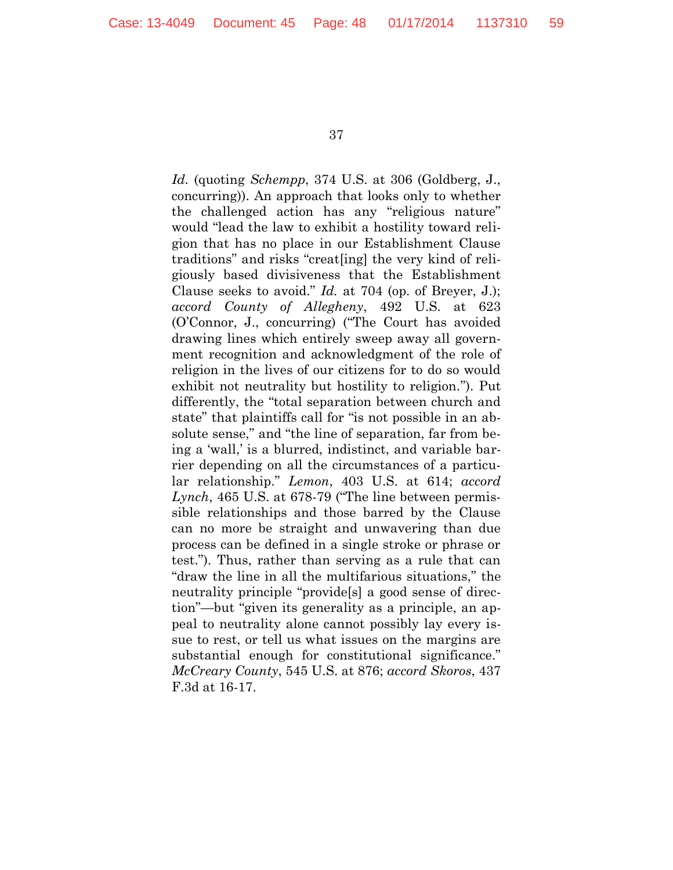*Id.* (quoting *Schempp*, 374 U.S. at 306 (Goldberg, J., concurring)). An approach that looks only to whether the challenged action has any "religious nature" would "lead the law to exhibit a hostility toward religion that has no place in our Establishment Clause traditions" and risks "creat[ing] the very kind of religiously based divisiveness that the Establishment Clause seeks to avoid." *Id.* at 704 (op. of Breyer, J.); *accord County of Allegheny*, 492 U.S. at 623 (O'Connor, J., concurring) ("The Court has avoided drawing lines which entirely sweep away all government recognition and acknowledgment of the role of religion in the lives of our citizens for to do so would exhibit not neutrality but hostility to religion."). Put differently, the "total separation between church and state" that plaintiffs call for "is not possible in an absolute sense," and "the line of separation, far from being a 'wall,' is a blurred, indistinct, and variable barrier depending on all the circumstances of a particular relationship." *Lemon*, 403 U.S. at 614; *accord Lynch*, 465 U.S. at 678-79 ("The line between permissible relationships and those barred by the Clause can no more be straight and unwavering than due process can be defined in a single stroke or phrase or test."). Thus, rather than serving as a rule that can "draw the line in all the multifarious situations," the neutrality principle "provide[s] a good sense of direction"—but "given its generality as a principle, an appeal to neutrality alone cannot possibly lay every issue to rest, or tell us what issues on the margins are substantial enough for constitutional significance." *McCreary County*, 545 U.S. at 876; *accord Skoros*, 437 F.3d at 16-17.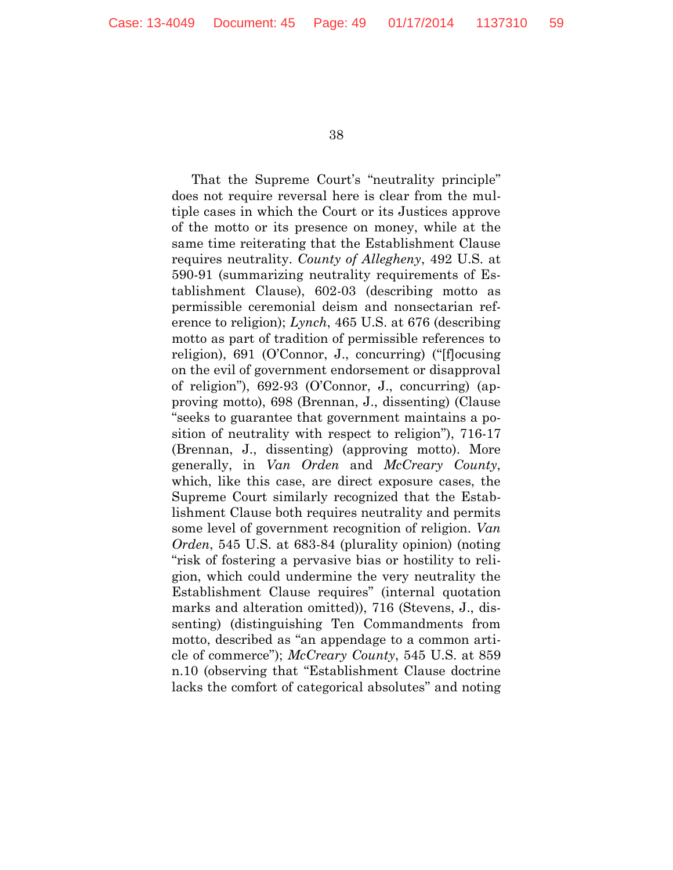That the Supreme Court's "neutrality principle" does not require reversal here is clear from the multiple cases in which the Court or its Justices approve of the motto or its presence on money, while at the same time reiterating that the Establishment Clause requires neutrality. *County of Allegheny*, 492 U.S. at 590-91 (summarizing neutrality requirements of Establishment Clause), 602-03 (describing motto as permissible ceremonial deism and nonsectarian reference to religion); *Lynch*, 465 U.S. at 676 (describing motto as part of tradition of permissible references to religion), 691 (O'Connor, J., concurring) ("[f]ocusing on the evil of government endorsement or disapproval of religion"), 692-93 (O'Connor, J., concurring) (approving motto), 698 (Brennan, J., dissenting) (Clause "seeks to guarantee that government maintains a position of neutrality with respect to religion"), 716-17 (Brennan, J., dissenting) (approving motto). More generally, in *Van Orden* and *McCreary County*, which, like this case, are direct exposure cases, the Supreme Court similarly recognized that the Establishment Clause both requires neutrality and permits some level of government recognition of religion. *Van Orden*, 545 U.S. at 683-84 (plurality opinion) (noting "risk of fostering a pervasive bias or hostility to religion, which could undermine the very neutrality the Establishment Clause requires" (internal quotation marks and alteration omitted)), 716 (Stevens, J., dissenting) (distinguishing Ten Commandments from motto, described as "an appendage to a common article of commerce"); *McCreary County*, 545 U.S. at 859 n.10 (observing that "Establishment Clause doctrine lacks the comfort of categorical absolutes" and noting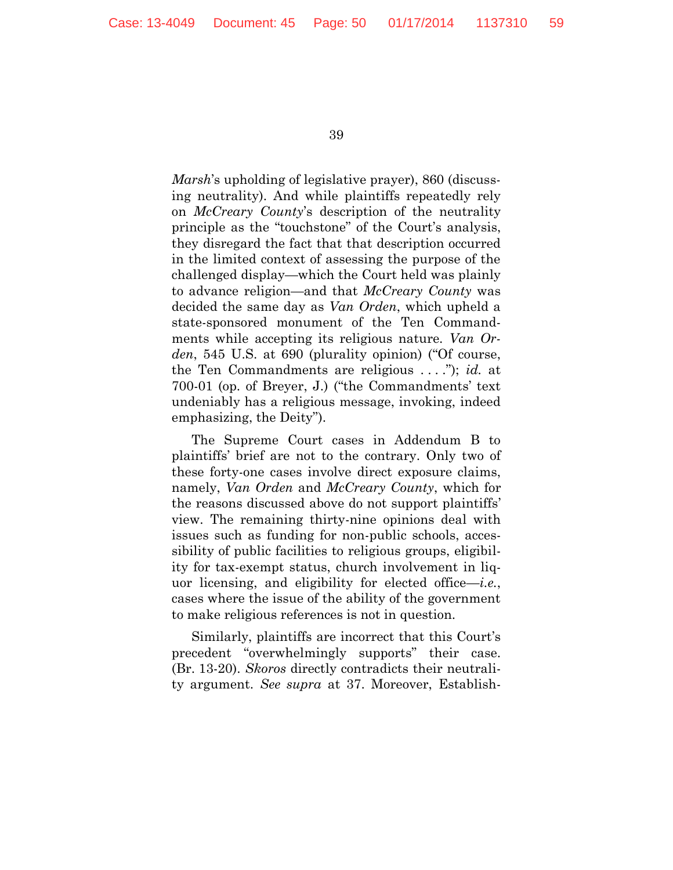*Marsh*'s upholding of legislative prayer), 860 (discussing neutrality). And while plaintiffs repeatedly rely on *McCreary County*'s description of the neutrality principle as the "touchstone" of the Court's analysis, they disregard the fact that that description occurred in the limited context of assessing the purpose of the challenged display—which the Court held was plainly to advance religion—and that *McCreary County* was decided the same day as *Van Orden*, which upheld a state-sponsored monument of the Ten Commandments while accepting its religious nature. *Van Orden*, 545 U.S. at 690 (plurality opinion) ("Of course, the Ten Commandments are religious . . . ."); *id.* at 700-01 (op. of Breyer, J.) ("the Commandments' text undeniably has a religious message, invoking, indeed emphasizing, the Deity").

The Supreme Court cases in Addendum B to plaintiffs' brief are not to the contrary. Only two of these forty-one cases involve direct exposure claims, namely, *Van Orden* and *McCreary County*, which for the reasons discussed above do not support plaintiffs' view. The remaining thirty-nine opinions deal with issues such as funding for non-public schools, accessibility of public facilities to religious groups, eligibility for tax-exempt status, church involvement in liquor licensing, and eligibility for elected office—*i.e.*, cases where the issue of the ability of the government to make religious references is not in question.

Similarly, plaintiffs are incorrect that this Court's precedent "overwhelmingly supports" their case. (Br. 13-20). *Skoros* directly contradicts their neutrality argument. *See supra* at 37. Moreover, Establish-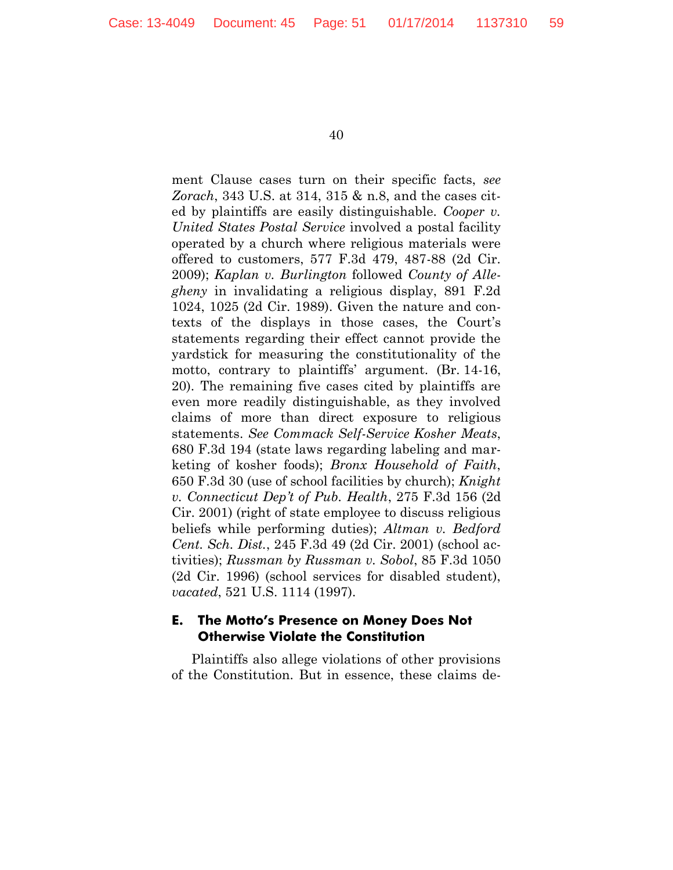ment Clause cases turn on their specific facts, *see Zorach*, 343 U.S. at 314, 315 & n.8, and the cases cited by plaintiffs are easily distinguishable. *Cooper v. United States Postal Service* involved a postal facility operated by a church where religious materials were offered to customers, 577 F.3d 479, 487-88 (2d Cir. 2009); *Kaplan v. Burlington* followed *County of Allegheny* in invalidating a religious display, 891 F.2d 1024, 1025 (2d Cir. 1989). Given the nature and contexts of the displays in those cases, the Court's statements regarding their effect cannot provide the yardstick for measuring the constitutionality of the motto, contrary to plaintiffs' argument. (Br. 14-16, 20). The remaining five cases cited by plaintiffs are even more readily distinguishable, as they involved claims of more than direct exposure to religious statements. *See Commack Self-Service Kosher Meats*, 680 F.3d 194 (state laws regarding labeling and marketing of kosher foods); *Bronx Household of Faith*, 650 F.3d 30 (use of school facilities by church); *Knight v. Connecticut Dep't of Pub. Health*, 275 F.3d 156 (2d Cir. 2001) (right of state employee to discuss religious beliefs while performing duties); *Altman v. Bedford Cent. Sch. Dist.*, 245 F.3d 49 (2d Cir. 2001) (school activities); *Russman by Russman v. Sobol*, 85 F.3d 1050 (2d Cir. 1996) (school services for disabled student), *vacated*, 521 U.S. 1114 (1997).

#### **E. The Motto's Presence on Money Does Not Otherwise Violate the Constitution**

Plaintiffs also allege violations of other provisions of the Constitution. But in essence, these claims de-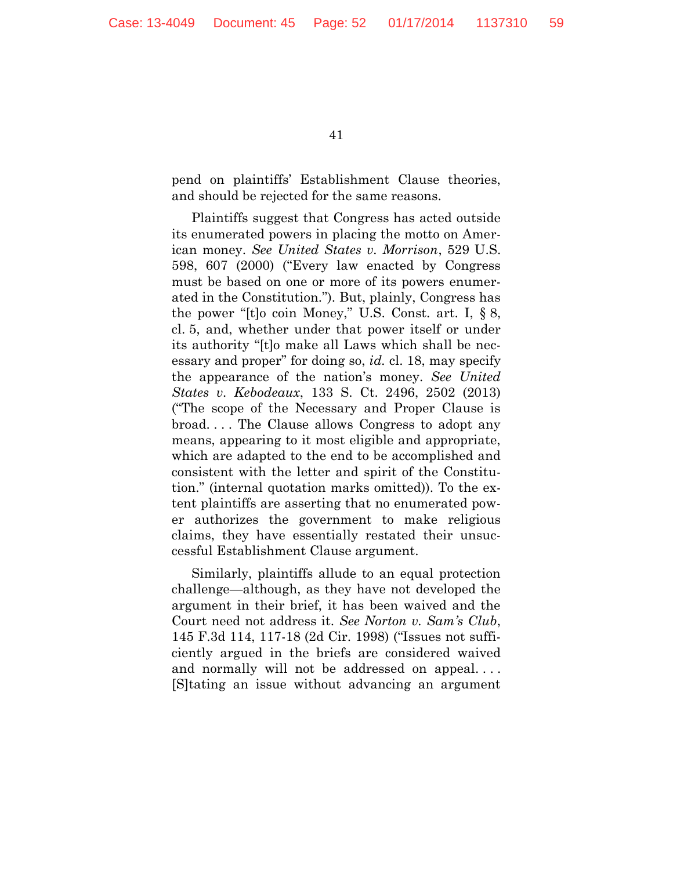pend on plaintiffs' Establishment Clause theories, and should be rejected for the same reasons.

Plaintiffs suggest that Congress has acted outside its enumerated powers in placing the motto on American money. *See United States v. Morrison*, 529 U.S. 598, 607 (2000) ("Every law enacted by Congress must be based on one or more of its powers enumerated in the Constitution."). But, plainly, Congress has the power "[t]o coin Money," U.S. Const. art. I, § 8, cl. 5, and, whether under that power itself or under its authority "[t]o make all Laws which shall be necessary and proper" for doing so, *id.* cl. 18, may specify the appearance of the nation's money. *See United States v. Kebodeaux*, 133 S. Ct. 2496, 2502 (2013) ("The scope of the Necessary and Proper Clause is broad. . . . The Clause allows Congress to adopt any means, appearing to it most eligible and appropriate, which are adapted to the end to be accomplished and consistent with the letter and spirit of the Constitution." (internal quotation marks omitted)). To the extent plaintiffs are asserting that no enumerated power authorizes the government to make religious claims, they have essentially restated their unsuccessful Establishment Clause argument.

Similarly, plaintiffs allude to an equal protection challenge—although, as they have not developed the argument in their brief, it has been waived and the Court need not address it. *See Norton v. Sam's Club*, 145 F.3d 114, 117-18 (2d Cir. 1998) ("Issues not sufficiently argued in the briefs are considered waived and normally will not be addressed on appeal. . . . [S]tating an issue without advancing an argument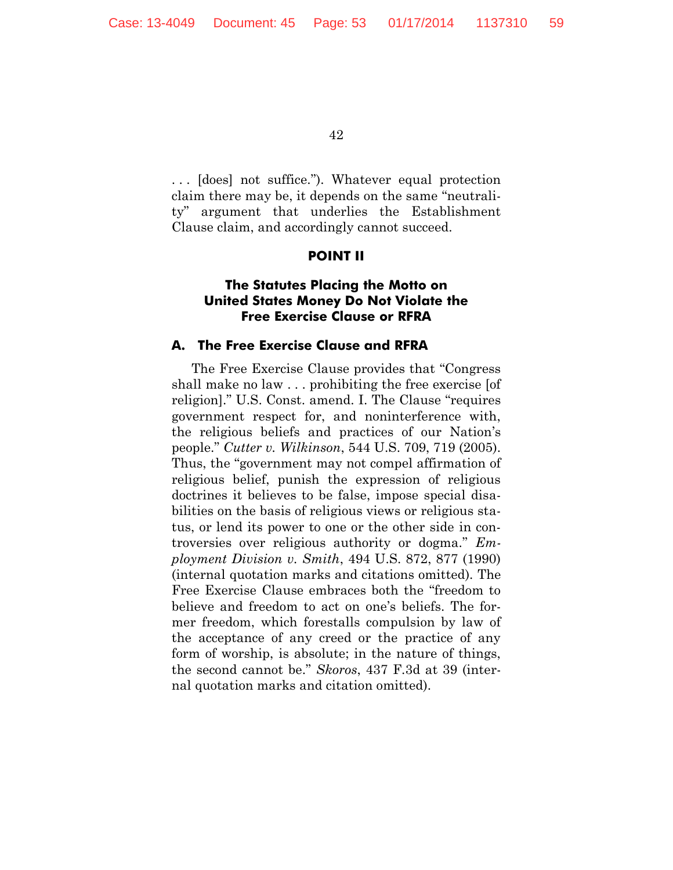. . . [does] not suffice."). Whatever equal protection claim there may be, it depends on the same "neutrality" argument that underlies the Establishment Clause claim, and accordingly cannot succeed.

#### **POINT II**

# **The Statutes Placing the Motto on United States Money Do Not Violate the Free Exercise Clause or RFRA**

#### **A. The Free Exercise Clause and RFRA**

The Free Exercise Clause provides that "Congress shall make no law . . . prohibiting the free exercise [of religion]." U.S. Const. amend. I. The Clause "requires government respect for, and noninterference with, the religious beliefs and practices of our Nation's people." *Cutter v. Wilkinson*, 544 U.S. 709, 719 (2005). Thus, the "government may not compel affirmation of religious belief, punish the expression of religious doctrines it believes to be false, impose special disabilities on the basis of religious views or religious status, or lend its power to one or the other side in controversies over religious authority or dogma." *Employment Division v. Smith*, 494 U.S. 872, 877 (1990) (internal quotation marks and citations omitted). The Free Exercise Clause embraces both the "freedom to believe and freedom to act on one's beliefs. The former freedom, which forestalls compulsion by law of the acceptance of any creed or the practice of any form of worship, is absolute; in the nature of things, the second cannot be." *Skoros*, 437 F.3d at 39 (internal quotation marks and citation omitted).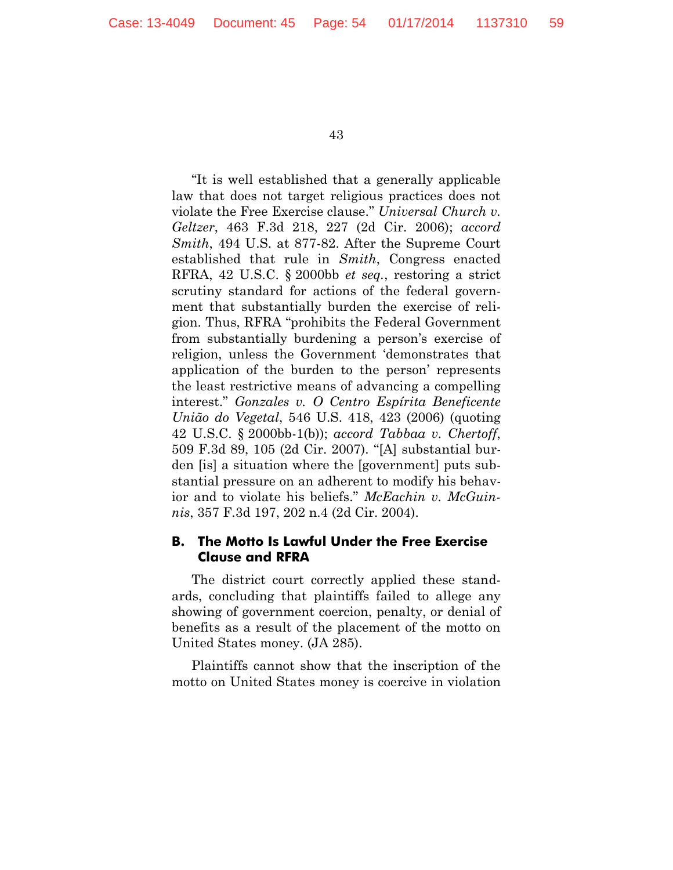"It is well established that a generally applicable law that does not target religious practices does not violate the Free Exercise clause." *Universal Church v. Geltzer*, 463 F.3d 218, 227 (2d Cir. 2006); *accord Smith*, 494 U.S. at 877-82. After the Supreme Court established that rule in *Smith*, Congress enacted RFRA, 42 U.S.C. § 2000bb *et seq.*, restoring a strict scrutiny standard for actions of the federal government that substantially burden the exercise of religion. Thus, RFRA "prohibits the Federal Government from substantially burdening a person's exercise of religion, unless the Government 'demonstrates that application of the burden to the person' represents the least restrictive means of advancing a compelling interest." *Gonzales v. O Centro Espírita Beneficente União do Vegetal*, 546 U.S. 418, 423 (2006) (quoting 42 U.S.C. § 2000bb-1(b)); *accord Tabbaa v. Chertoff*, 509 F.3d 89, 105 (2d Cir. 2007). "[A] substantial burden [is] a situation where the [government] puts substantial pressure on an adherent to modify his behavior and to violate his beliefs." *McEachin v. McGuinnis*, 357 F.3d 197, 202 n.4 (2d Cir. 2004).

#### **B. The Motto Is Lawful Under the Free Exercise Clause and RFRA**

The district court correctly applied these standards, concluding that plaintiffs failed to allege any showing of government coercion, penalty, or denial of benefits as a result of the placement of the motto on United States money. (JA 285).

Plaintiffs cannot show that the inscription of the motto on United States money is coercive in violation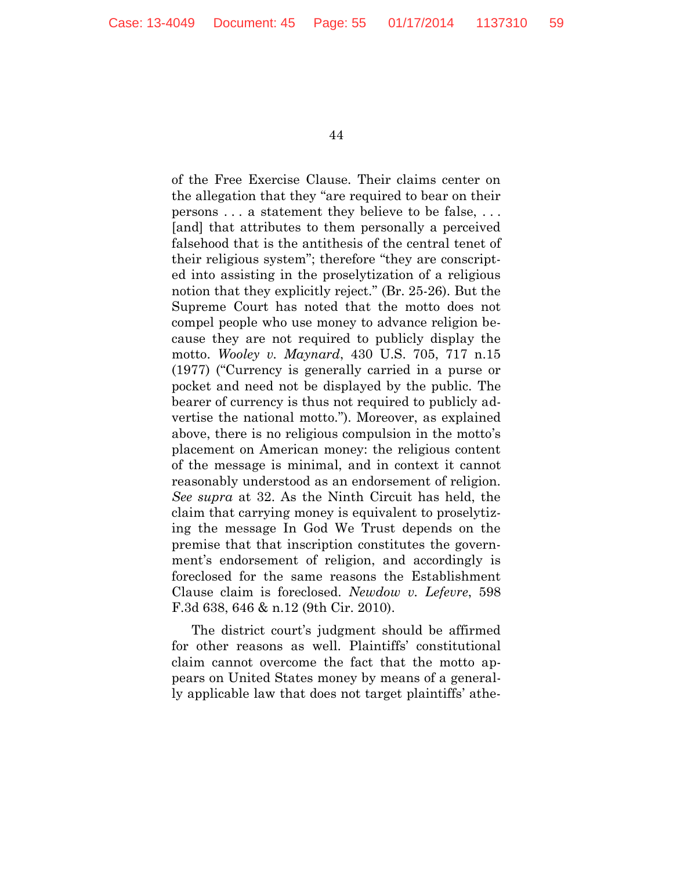of the Free Exercise Clause. Their claims center on the allegation that they "are required to bear on their persons . . . a statement they believe to be false, . . . [and] that attributes to them personally a perceived falsehood that is the antithesis of the central tenet of their religious system"; therefore "they are conscripted into assisting in the proselytization of a religious notion that they explicitly reject." (Br. 25-26). But the Supreme Court has noted that the motto does not compel people who use money to advance religion because they are not required to publicly display the motto. *Wooley v. Maynard*, 430 U.S. 705, 717 n.15 (1977) ("Currency is generally carried in a purse or pocket and need not be displayed by the public. The bearer of currency is thus not required to publicly advertise the national motto."). Moreover, as explained above, there is no religious compulsion in the motto's placement on American money: the religious content of the message is minimal, and in context it cannot reasonably understood as an endorsement of religion. *See supra* at 32. As the Ninth Circuit has held, the claim that carrying money is equivalent to proselytizing the message In God We Trust depends on the premise that that inscription constitutes the government's endorsement of religion, and accordingly is foreclosed for the same reasons the Establishment Clause claim is foreclosed. *Newdow v. Lefevre*, 598 F.3d 638, 646 & n.12 (9th Cir. 2010).

The district court's judgment should be affirmed for other reasons as well. Plaintiffs' constitutional claim cannot overcome the fact that the motto appears on United States money by means of a generally applicable law that does not target plaintiffs' athe-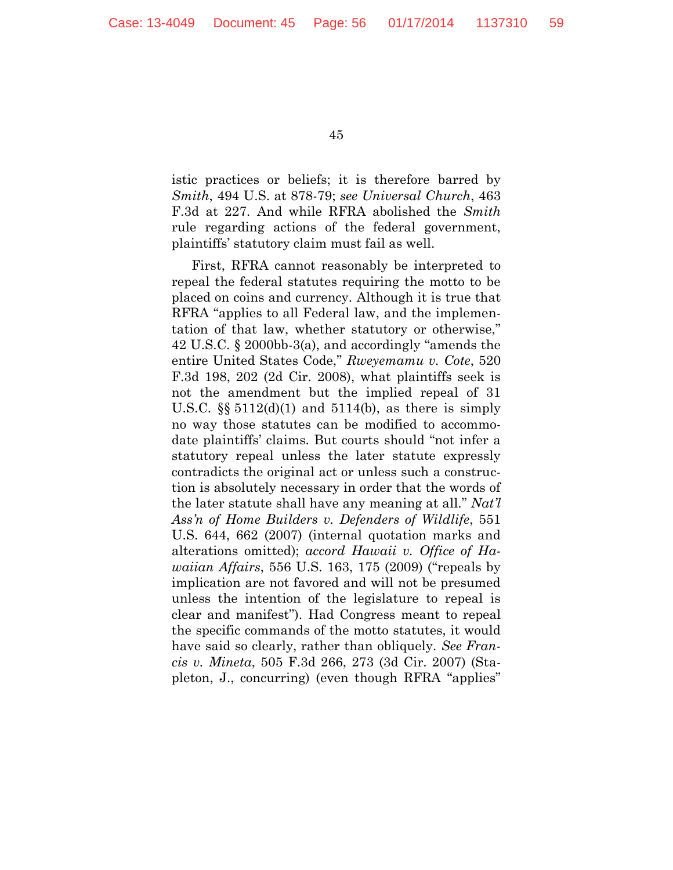istic practices or beliefs; it is therefore barred by *Smith*, 494 U.S. at 878-79; *see Universal Church*, 463 F.3d at 227. And while RFRA abolished the *Smith* rule regarding actions of the federal government, plaintiffs' statutory claim must fail as well.

First, RFRA cannot reasonably be interpreted to repeal the federal statutes requiring the motto to be placed on coins and currency. Although it is true that RFRA "applies to all Federal law, and the implementation of that law, whether statutory or otherwise," 42 U.S.C. § 2000bb-3(a), and accordingly "amends the entire United States Code," *Rweyemamu v. Cote*, 520 F.3d 198, 202 (2d Cir. 2008), what plaintiffs seek is not the amendment but the implied repeal of 31 U.S.C.  $\S$  5112(d)(1) and 5114(b), as there is simply no way those statutes can be modified to accommodate plaintiffs' claims. But courts should "not infer a statutory repeal unless the later statute expressly contradicts the original act or unless such a construction is absolutely necessary in order that the words of the later statute shall have any meaning at all." *Nat'l Ass'n of Home Builders v. Defenders of Wildlife*, 551 U.S. 644, 662 (2007) (internal quotation marks and alterations omitted); *accord Hawaii v. Office of Hawaiian Affairs*, 556 U.S. 163, 175 (2009) ("repeals by implication are not favored and will not be presumed unless the intention of the legislature to repeal is clear and manifest"). Had Congress meant to repeal the specific commands of the motto statutes, it would have said so clearly, rather than obliquely. *See Francis v. Mineta*, 505 F.3d 266, 273 (3d Cir. 2007) (Stapleton, J., concurring) (even though RFRA "applies"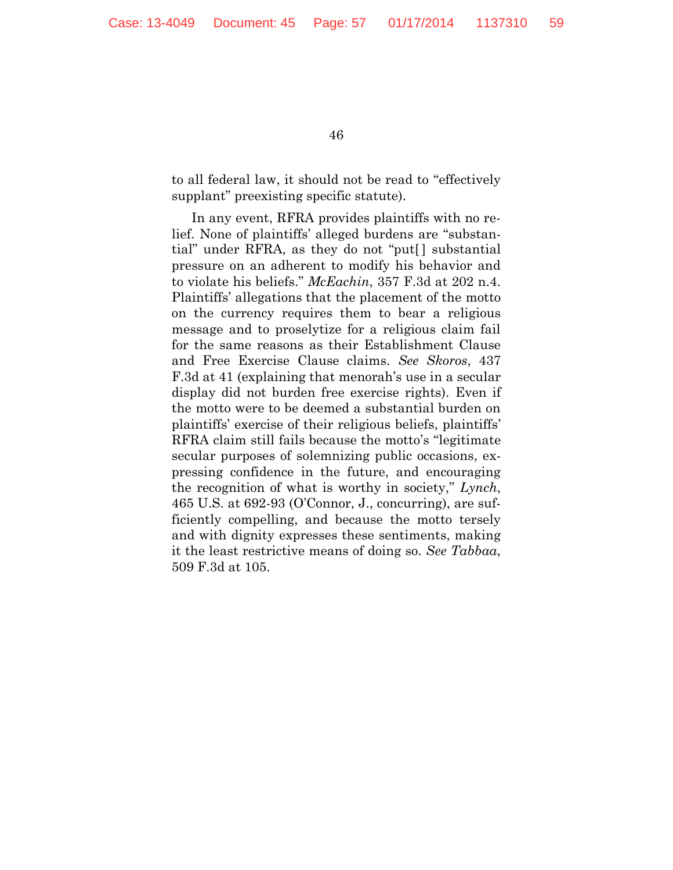to all federal law, it should not be read to "effectively supplant" preexisting specific statute).

In any event, RFRA provides plaintiffs with no relief. None of plaintiffs' alleged burdens are "substantial" under RFRA, as they do not "put[ ] substantial pressure on an adherent to modify his behavior and to violate his beliefs." *McEachin*, 357 F.3d at 202 n.4. Plaintiffs' allegations that the placement of the motto on the currency requires them to bear a religious message and to proselytize for a religious claim fail for the same reasons as their Establishment Clause and Free Exercise Clause claims. *See Skoros*, 437 F.3d at 41 (explaining that menorah's use in a secular display did not burden free exercise rights). Even if the motto were to be deemed a substantial burden on plaintiffs' exercise of their religious beliefs, plaintiffs' RFRA claim still fails because the motto's "legitimate secular purposes of solemnizing public occasions, expressing confidence in the future, and encouraging the recognition of what is worthy in society," *Lynch*, 465 U.S. at 692-93 (O'Connor, J., concurring), are sufficiently compelling, and because the motto tersely and with dignity expresses these sentiments, making it the least restrictive means of doing so. *See Tabbaa*, 509 F.3d at 105.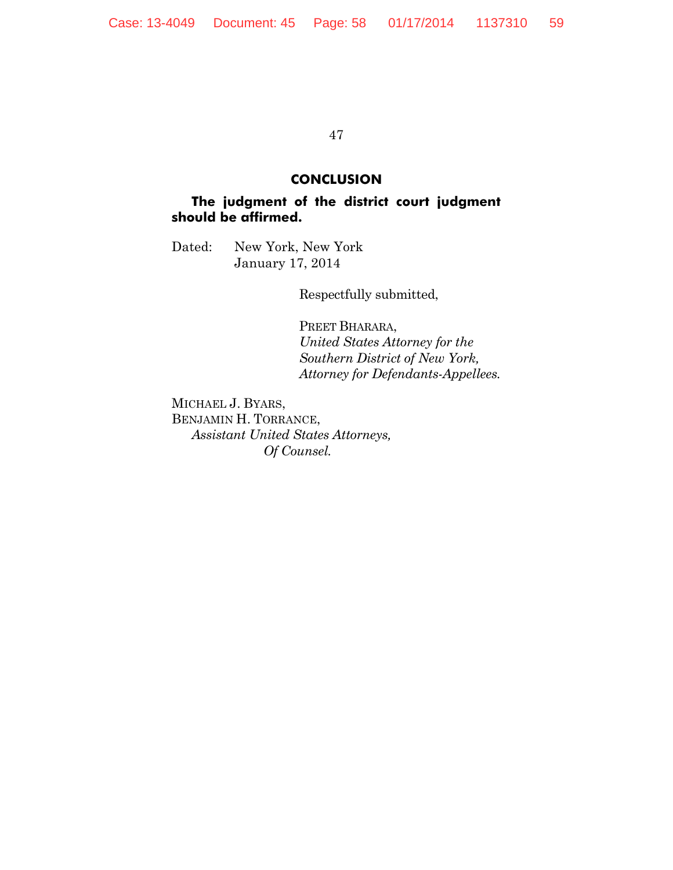#### **CONCLUSION**

# **The judgment of the district court judgment should be affirmed.**

Dated: New York, New York January 17, 2014

Respectfully submitted,

PREET BHARARA, *United States Attorney for the Southern District of New York, Attorney for Defendants-Appellees.*

MICHAEL J. BYARS, BENJAMIN H. TORRANCE, *Assistant United States Attorneys, Of Counsel.*